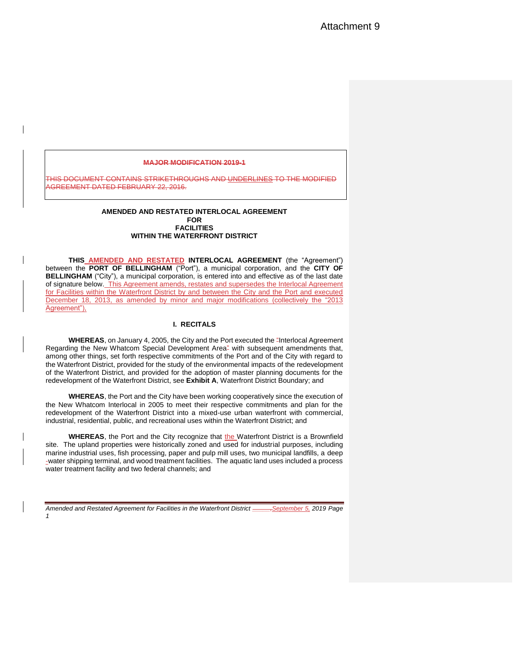### **MAJOR MODIFICATION 2019-1**

THIS DOCUMENT CONTAINS STRIKETHROUGHS AND UNDERLINES TO THE MODIFIED AGREEMENT DATED FEBRUARY 22, 2016.

#### **AMENDED AND RESTATED INTERLOCAL AGREEMENT FOR FACILITIES WITHIN THE WATERFRONT DISTRICT**

**THIS AMENDED AND RESTATED INTERLOCAL AGREEMENT** (the "Agreement") between the **PORT OF BELLINGHAM** ("Port"), a municipal corporation, and the **CITY OF BELLINGHAM** ("City"), a municipal corporation, is entered into and effective as of the last date of signature below. This Agreement amends, restates and supersedes the Interlocal Agreement for Facilities within the Waterfront District by and between the City and the Port and executed December 18, 2013, as amended by minor and major modifications (collectively the "2013 Agreement"),

#### **I. RECITALS**

**WHEREAS**, on January 4, 2005, the City and the Port executed the "Interlocal Agreement Regarding the New Whatcom Special Development Area" with subsequent amendments that, among other things, set forth respective commitments of the Port and of the City with regard to the Waterfront District, provided for the study of the environmental impacts of the redevelopment of the Waterfront District, and provided for the adoption of master planning documents for the redevelopment of the Waterfront District, see **Exhibit A**, Waterfront District Boundary; and

**WHEREAS**, the Port and the City have been working cooperatively since the execution of the New Whatcom Interlocal in 2005 to meet their respective commitments and plan for the redevelopment of the Waterfront District into a mixed-use urban waterfront with commercial, industrial, residential, public, and recreational uses within the Waterfront District; and

WHEREAS, the Port and the City recognize that the Waterfront District is a Brownfield site. The upland properties were historically zoned and used for industrial purposes, including marine industrial uses, fish processing, paper and pulp mill uses, two municipal landfills, a deep -water shipping terminal, and wood treatment facilities. The aquatic land uses included a process water treatment facility and two federal channels; and

*Amended and Restated Agreement for Facilities in the Waterfront District \_\_\_\_\_,September 5, 2019 Page 1*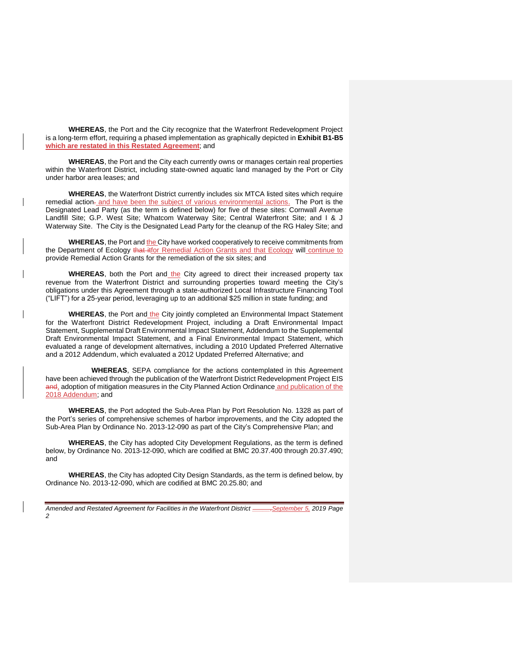**WHEREAS**, the Port and the City recognize that the Waterfront Redevelopment Project is a long-term effort, requiring a phased implementation as graphically depicted in **Exhibit B1-B5 which are restated in this Restated Agreement**; and

**WHEREAS**, the Port and the City each currently owns or manages certain real properties within the Waterfront District, including state-owned aquatic land managed by the Port or City under harbor area leases; and

**WHEREAS**, the Waterfront District currently includes six MTCA listed sites which require remedial action-and have been the subject of various environmental actions. The Port is the Designated Lead Party (as the term is defined below) for five of these sites: Cornwall Avenue Landfill Site; G.P. West Site; Whatcom Waterway Site; Central Waterfront Site; and I & J Waterway Site. The City is the Designated Lead Party for the cleanup of the RG Haley Site; and

**WHEREAS**, the Port and the City have worked cooperatively to receive commitments from the Department of Ecology that itfor Remedial Action Grants and that Ecology will continue to provide Remedial Action Grants for the remediation of the six sites; and

**WHEREAS**, both the Port and the City agreed to direct their increased property tax revenue from the Waterfront District and surrounding properties toward meeting the City's obligations under this Agreement through a state-authorized Local Infrastructure Financing Tool ("LIFT") for a 25-year period, leveraging up to an additional \$25 million in state funding; and

**WHEREAS**, the Port and the City jointly completed an Environmental Impact Statement for the Waterfront District Redevelopment Project, including a Draft Environmental Impact Statement, Supplemental Draft Environmental Impact Statement, Addendum to the Supplemental Draft Environmental Impact Statement, and a Final Environmental Impact Statement, which evaluated a range of development alternatives, including a 2010 Updated Preferred Alternative and a 2012 Addendum, which evaluated a 2012 Updated Preferred Alternative; and

**WHEREAS**, SEPA compliance for the actions contemplated in this Agreement have been achieved through the publication of the Waterfront District Redevelopment Project EIS and, adoption of mitigation measures in the City Planned Action Ordinance and publication of the 2018 Addendum; and

**WHEREAS**, the Port adopted the Sub-Area Plan by Port Resolution No. 1328 as part of the Port's series of comprehensive schemes of harbor improvements, and the City adopted the Sub-Area Plan by Ordinance No. 2013-12-090 as part of the City's Comprehensive Plan; and

**WHEREAS**, the City has adopted City Development Regulations, as the term is defined below, by Ordinance No. 2013-12-090, which are codified at BMC 20.37.400 through 20.37.490; and

**WHEREAS**, the City has adopted City Design Standards, as the term is defined below, by Ordinance No. 2013-12-090, which are codified at BMC 20.25.80; and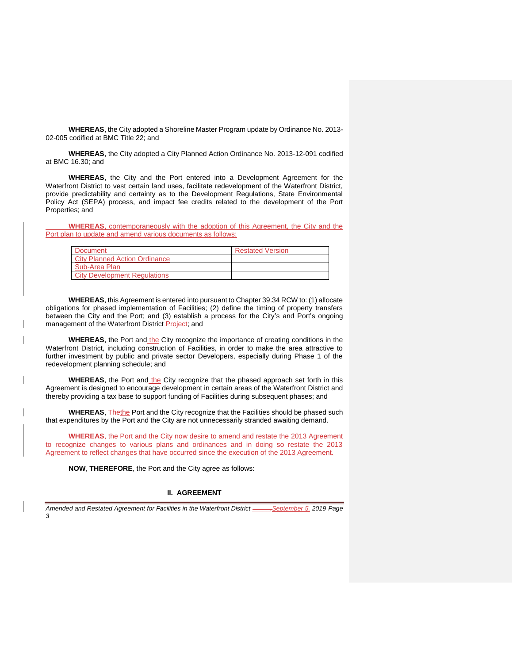**WHEREAS**, the City adopted a Shoreline Master Program update by Ordinance No. 2013- 02-005 codified at BMC Title 22; and

**WHEREAS**, the City adopted a City Planned Action Ordinance No. 2013-12-091 codified at BMC 16.30; and

**WHEREAS**, the City and the Port entered into a Development Agreement for the Waterfront District to vest certain land uses, facilitate redevelopment of the Waterfront District, provide predictability and certainty as to the Development Regulations, State Environmental Policy Act (SEPA) process, and impact fee credits related to the development of the Port Properties; and

**WHEREAS**, contemporaneously with the adoption of this Agreement, the City and the Port plan to update and amend various documents as follows:

| Document                             | <b>Restated Version</b> |
|--------------------------------------|-------------------------|
| <b>City Planned Action Ordinance</b> |                         |
| Sub-Area Plan                        |                         |
| <b>City Development Requiations</b>  |                         |

**WHEREAS**, this Agreement is entered into pursuant to Chapter 39.34 RCW to: (1) allocate obligations for phased implementation of Facilities; (2) define the timing of property transfers between the City and the Port; and (3) establish a process for the City's and Port's ongoing management of the Waterfront District-Project; and

WHEREAS, the Port and the City recognize the importance of creating conditions in the Waterfront District, including construction of Facilities, in order to make the area attractive to further investment by public and private sector Developers, especially during Phase 1 of the redevelopment planning schedule; and

**WHEREAS**, the Port and the City recognize that the phased approach set forth in this Agreement is designed to encourage development in certain areas of the Waterfront District and thereby providing a tax base to support funding of Facilities during subsequent phases; and

WHEREAS, Thethe Port and the City recognize that the Facilities should be phased such that expenditures by the Port and the City are not unnecessarily stranded awaiting demand.

**WHEREAS**, the Port and the City now desire to amend and restate the 2013 Agreement to recognize changes to various plans and ordinances and in doing so restate the 2013 Agreement to reflect changes that have occurred since the execution of the 2013 Agreement.

**NOW**, **THEREFORE**, the Port and the City agree as follows:

## **II. AGREEMENT**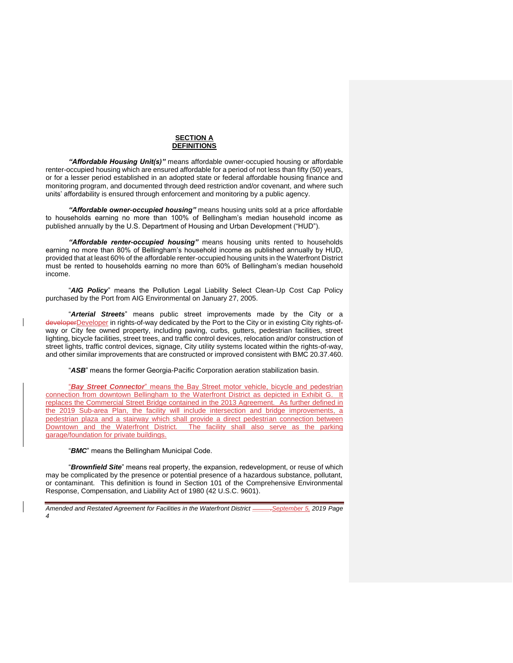## **SECTION A DEFINITIONS**

*"Affordable Housing Unit(s)"* means affordable owner-occupied housing or affordable renter-occupied housing which are ensured affordable for a period of not less than fifty (50) years, or for a lesser period established in an adopted state or federal affordable housing finance and monitoring program, and documented through deed restriction and/or covenant, and where such units' affordability is ensured through enforcement and monitoring by a public agency.

*"Affordable owner-occupied housing"* means housing units sold at a price affordable to households earning no more than 100% of Bellingham's median household income as published annually by the U.S. Department of Housing and Urban Development ("HUD").

*"Affordable renter-occupied housing"* means housing units rented to households earning no more than 80% of Bellingham's household income as published annually by HUD, provided that at least 60% of the affordable renter-occupied housing units in the Waterfront District must be rented to households earning no more than 60% of Bellingham's median household income.

"*AIG Policy*" means the Pollution Legal Liability Select Clean-Up Cost Cap Policy purchased by the Port from AIG Environmental on January 27, 2005.

"*Arterial Streets*" means public street improvements made by the City or a developerDeveloper in rights-of-way dedicated by the Port to the City or in existing City rights-ofway or City fee owned property, including paving, curbs, gutters, pedestrian facilities, street lighting, bicycle facilities, street trees, and traffic control devices, relocation and/or construction of street lights, traffic control devices, signage, City utility systems located within the rights-of-way, and other similar improvements that are constructed or improved consistent with BMC 20.37.460.

"*ASB*" means the former Georgia-Pacific Corporation aeration stabilization basin.

"*Bay Street Connector*" means the Bay Street motor vehicle, bicycle and pedestrian connection from downtown Bellingham to the Waterfront District as depicted in Exhibit G. It replaces the Commercial Street Bridge contained in the 2013 Agreement. As further defined in the 2019 Sub-area Plan, the facility will include intersection and bridge improvements, a pedestrian plaza and a stairway which shall provide a direct pedestrian connection between Downtown and the Waterfront District. The facility shall also serve as the parking garage/foundation for private buildings.

"*BMC*" means the Bellingham Municipal Code.

"*Brownfield Site*" means real property, the expansion, redevelopment, or reuse of which may be complicated by the presence or potential presence of a hazardous substance, pollutant, or contaminant. This definition is found in Section 101 of the Comprehensive Environmental Response, Compensation, and Liability Act of 1980 (42 U.S.C. 9601).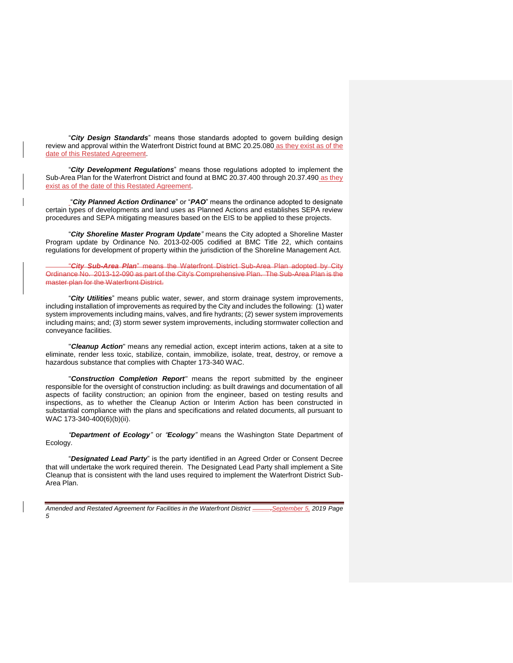"*City Design Standards*" means those standards adopted to govern building design review and approval within the Waterfront District found at BMC 20.25.080 as they exist as of the date of this Restated Agreement.

"*City Development Regulations*" means those regulations adopted to implement the Sub-Area Plan for the Waterfront District and found at BMC 20.37.400 through 20.37.490 as they exist as of the date of this Restated Agreement.

"*City Planned Action Ordinance*" or "*PAO*" means the ordinance adopted to designate certain types of developments and land uses as Planned Actions and establishes SEPA review procedures and SEPA mitigating measures based on the EIS to be applied to these projects.

"*City Shoreline Master Program Update"* means the City adopted a Shoreline Master Program update by Ordinance No. 2013-02-005 codified at BMC Title 22, which contains regulations for development of property within the jurisdiction of the Shoreline Management Act.

"*City Sub-Area Plan*" means the Waterfront District Sub-Area Plan adopted by City Ordinance No. 2013-12-090 as part of the City's Comprehensive Plan. The Sub-Area Plan is the master plan for the Waterfront District.

"*City Utilities*" means public water, sewer, and storm drainage system improvements, including installation of improvements as required by the City and includes the following: (1) water system improvements including mains, valves, and fire hydrants; (2) sewer system improvements including mains; and; (3) storm sewer system improvements, including stormwater collection and conveyance facilities.

"*Cleanup Action*" means any remedial action, except interim actions, taken at a site to eliminate, render less toxic, stabilize, contain, immobilize, isolate, treat, destroy, or remove a hazardous substance that complies with Chapter 173-340 WAC.

"*Construction Completion Report"* means the report submitted by the engineer responsible for the oversight of construction including: as built drawings and documentation of all aspects of facility construction; an opinion from the engineer, based on testing results and inspections, as to whether the Cleanup Action or Interim Action has been constructed in substantial compliance with the plans and specifications and related documents, all pursuant to WAC 173-340-400(6)(b)(ii).

*"Department of Ecology"* or *"Ecology"* means the Washington State Department of Ecology.

"*Designated Lead Party*" is the party identified in an Agreed Order or Consent Decree that will undertake the work required therein. The Designated Lead Party shall implement a Site Cleanup that is consistent with the land uses required to implement the Waterfront District Sub-Area Plan.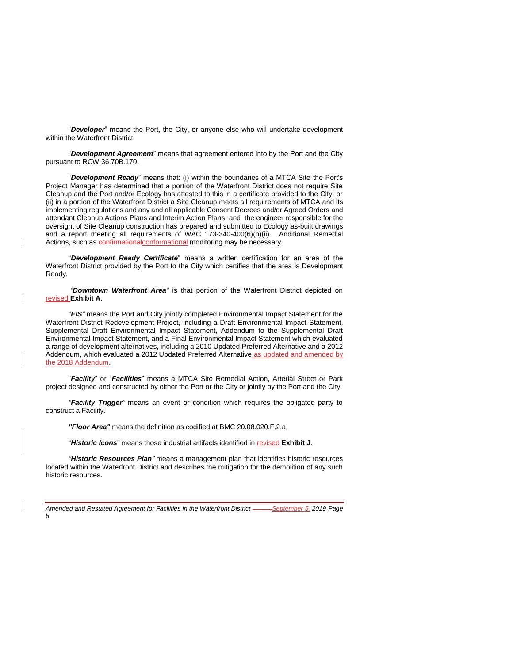"*Developer*" means the Port, the City, or anyone else who will undertake development within the Waterfront District.

"*Development Agreement*" means that agreement entered into by the Port and the City pursuant to RCW 36.70B.170.

"*Development Ready*" means that: (i) within the boundaries of a MTCA Site the Port's Project Manager has determined that a portion of the Waterfront District does not require Site Cleanup and the Port and/or Ecology has attested to this in a certificate provided to the City; or (ii) in a portion of the Waterfront District a Site Cleanup meets all requirements of MTCA and its implementing regulations and any and all applicable Consent Decrees and/or Agreed Orders and attendant Cleanup Actions Plans and Interim Action Plans; and the engineer responsible for the oversight of Site Cleanup construction has prepared and submitted to Ecology as-built drawings and a report meeting all requirements of WAC 173-340-400(6)(b)(ii). Additional Remedial Actions, such as confirmationalconformational monitoring may be necessary.

"*Development Ready Certificate*" means a written certification for an area of the Waterfront District provided by the Port to the City which certifies that the area is Development Ready.

*"Downtown Waterfront Area"* is that portion of the Waterfront District depicted on revised **Exhibit A**.

"*EIS"* means the Port and City jointly completed Environmental Impact Statement for the Waterfront District Redevelopment Project, including a Draft Environmental Impact Statement, Supplemental Draft Environmental Impact Statement, Addendum to the Supplemental Draft Environmental Impact Statement, and a Final Environmental Impact Statement which evaluated a range of development alternatives, including a 2010 Updated Preferred Alternative and a 2012 Addendum, which evaluated a 2012 Updated Preferred Alternative as updated and amended by the 2018 Addendum.

"*Facility*" or "*Facilities*" means a MTCA Site Remedial Action, Arterial Street or Park project designed and constructed by either the Port or the City or jointly by the Port and the City.

*"Facility Trigger"* means an event or condition which requires the obligated party to construct a Facility.

*"Floor Area"* means the definition as codified at BMC 20.08.020.F.2.a.

"*Historic Icons*" means those industrial artifacts identified in revised **Exhibit J**.

*"Historic Resources Plan"* means a management plan that identifies historic resources located within the Waterfront District and describes the mitigation for the demolition of any such historic resources.

*Amended and Restated Agreement for Facilities in the Waterfront District \_\_\_\_\_,September 5, 2019 Page 6*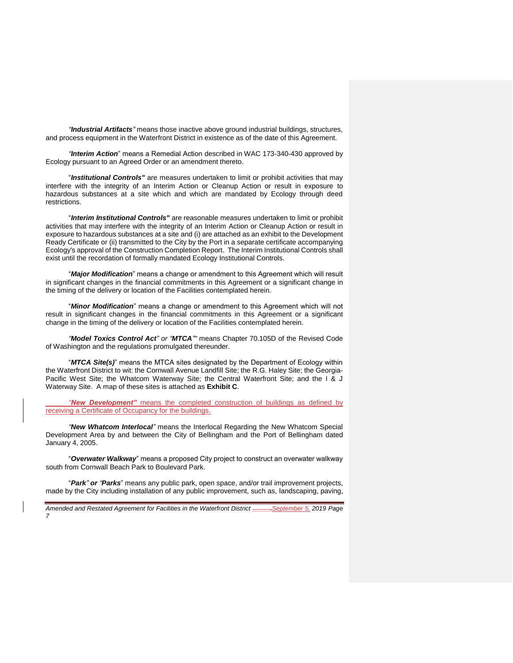*"Industrial Artifacts"* means those inactive above ground industrial buildings, structures, and process equipment in the Waterfront District in existence as of the date of this Agreement.

*"Interim Action*" means a Remedial Action described in WAC 173-340-430 approved by Ecology pursuant to an Agreed Order or an amendment thereto.

"*Institutional Controls"* are measures undertaken to limit or prohibit activities that may interfere with the integrity of an Interim Action or Cleanup Action or result in exposure to hazardous substances at a site which and which are mandated by Ecology through deed restrictions.

"*Interim Institutional Controls"* are reasonable measures undertaken to limit or prohibit activities that may interfere with the integrity of an Interim Action or Cleanup Action or result in exposure to hazardous substances at a site and (i) are attached as an exhibit to the Development Ready Certificate or (ii) transmitted to the City by the Port in a separate certificate accompanying Ecology's approval of the Construction Completion Report. The Interim Institutional Controls shall exist until the recordation of formally mandated Ecology Institutional Controls.

"*Major Modification*" means a change or amendment to this Agreement which will result in significant changes in the financial commitments in this Agreement or a significant change in the timing of the delivery or location of the Facilities contemplated herein.

"*Minor Modification*" means a change or amendment to this Agreement which will not result in significant changes in the financial commitments in this Agreement or a significant change in the timing of the delivery or location of the Facilities contemplated herein.

*"Model Toxics Control Act" or "MTCA""* means Chapter 70.105D of the Revised Code of Washington and the regulations promulgated thereunder.

"*MTCA Site(s)*" means the MTCA sites designated by the Department of Ecology within the Waterfront District to wit: the Cornwall Avenue Landfill Site; the R.G. Haley Site; the Georgia-Pacific West Site; the Whatcom Waterway Site; the Central Waterfront Site; and the I & J Waterway Site. A map of these sites is attached as **Exhibit C**.

*"New Development"* means the completed construction of buildings as defined by receiving a Certificate of Occupancy for the buildings.

*"New Whatcom Interlocal"* means the Interlocal Regarding the New Whatcom Special Development Area by and between the City of Bellingham and the Port of Bellingham dated January 4, 2005.

"*Overwater Walkway*" means a proposed City project to construct an overwater walkway south from Cornwall Beach Park to Boulevard Park.

"*Park" or "Parks*" means any public park, open space, and/or trail improvement projects, made by the City including installation of any public improvement, such as, landscaping, paving,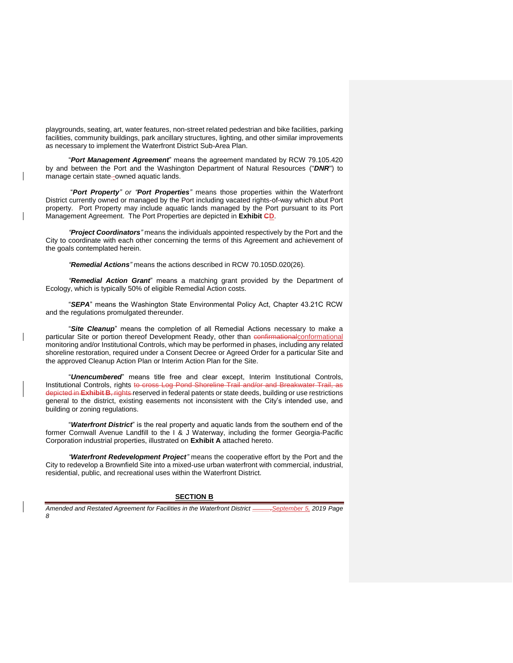playgrounds, seating, art, water features, non-street related pedestrian and bike facilities, parking facilities, community buildings, park ancillary structures, lighting, and other similar improvements as necessary to implement the Waterfront District Sub-Area Plan.

"*Port Management Agreement*" means the agreement mandated by RCW 79.105.420 by and between the Port and the Washington Department of Natural Resources ("*DNR*") to manage certain state--owned aquatic lands.

"*Port Property" or "Port Properties"* means those properties within the Waterfront District currently owned or managed by the Port including vacated rights-of-way which abut Port property. Port Property may include aquatic lands managed by the Port pursuant to its Port Management Agreement. The Port Properties are depicted in **Exhibit CD**.

*"Project Coordinators"* means the individuals appointed respectively by the Port and the City to coordinate with each other concerning the terms of this Agreement and achievement of the goals contemplated herein.

*"Remedial Actions"* means the actions described in RCW 70.105D.020(26).

*"Remedial Action Grant*" means a matching grant provided by the Department of Ecology, which is typically 50% of eligible Remedial Action costs.

"*SEPA*" means the Washington State Environmental Policy Act, Chapter 43.21C RCW and the regulations promulgated thereunder.

"*Site Cleanup*" means the completion of all Remedial Actions necessary to make a particular Site or portion thereof Development Ready, other than confirmational conformational monitoring and/or Institutional Controls, which may be performed in phases, including any related shoreline restoration, required under a Consent Decree or Agreed Order for a particular Site and the approved Cleanup Action Plan or Interim Action Plan for the Site.

"*Unencumbered*" means title free and clear except, Interim Institutional Controls, Institutional Controls, rights to cross Log Pond Shoreline Trail and/or and Breakwater Trail, as depicted in **Exhibit B**, rights reserved in federal patents or state deeds, building or use restrictions general to the district, existing easements not inconsistent with the City's intended use, and building or zoning regulations.

"*Waterfront District*" is the real property and aquatic lands from the southern end of the former Cornwall Avenue Landfill to the I & J Waterway, including the former Georgia-Pacific Corporation industrial properties, illustrated on **Exhibit A** attached hereto.

*"Waterfront Redevelopment Project"* means the cooperative effort by the Port and the City to redevelop a Brownfield Site into a mixed-use urban waterfront with commercial, industrial, residential, public, and recreational uses within the Waterfront District.

#### **SECTION B**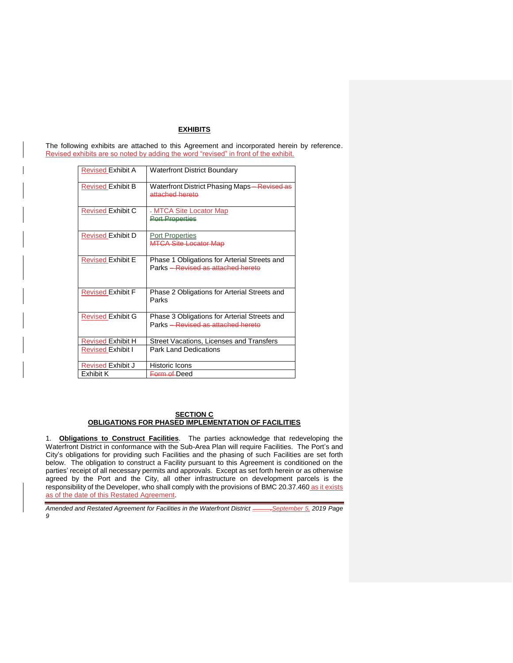## **EXHIBITS**

The following exhibits are attached to this Agreement and incorporated herein by reference. Revised exhibits are so noted by adding the word "revised" in front of the exhibit.

| <b>Revised Exhibit A</b> | <b>Waterfront District Boundary</b>                                                |
|--------------------------|------------------------------------------------------------------------------------|
| <b>Revised Exhibit B</b> | Waterfront District Phasing Maps—Revised as<br>attached hereto                     |
| <b>Revised Exhibit C</b> | - MTCA Site Locator Map<br><b>Pert Preperties</b>                                  |
| <b>Revised Exhibit D</b> | <b>Port Properties</b><br><b>MTCA Site Locator Map</b>                             |
| <b>Revised Exhibit E</b> | Phase 1 Obligations for Arterial Streets and<br>Parks - Revised as attached hereto |
| <b>Revised Exhibit F</b> | Phase 2 Obligations for Arterial Streets and<br>Parks                              |
| <b>Revised Exhibit G</b> | Phase 3 Obligations for Arterial Streets and<br>Parks - Revised as attached hereto |
| <b>Revised Exhibit H</b> | Street Vacations, Licenses and Transfers                                           |
| <b>Revised Exhibit I</b> | <b>Park Land Dedications</b>                                                       |
| <b>Revised Exhibit J</b> | <b>Historic Icons</b>                                                              |
| Exhibit K                | <del>Form of </del> Deed                                                           |

### **SECTION C OBLIGATIONS FOR PHASED IMPLEMENTATION OF FACILITIES**

1. **Obligations to Construct Facilities**. The parties acknowledge that redeveloping the Waterfront District in conformance with the Sub-Area Plan will require Facilities. The Port's and City's obligations for providing such Facilities and the phasing of such Facilities are set forth below. The obligation to construct a Facility pursuant to this Agreement is conditioned on the parties' receipt of all necessary permits and approvals. Except as set forth herein or as otherwise agreed by the Port and the City, all other infrastructure on development parcels is the responsibility of the Developer, who shall comply with the provisions of BMC 20.37.460 as it exists as of the date of this Restated Agreement.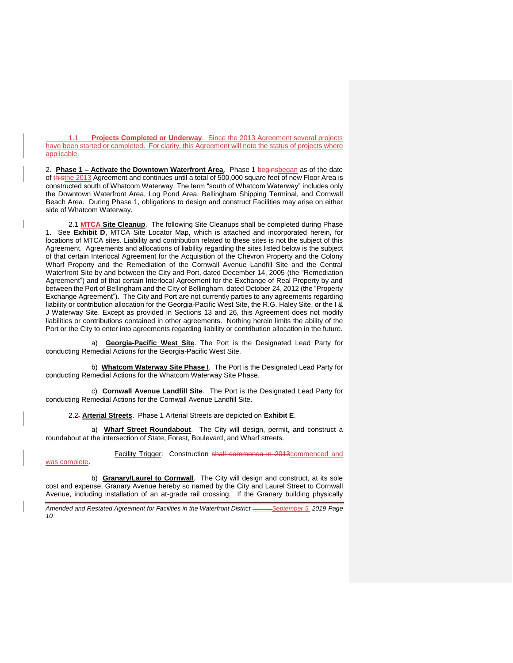1.1 **Projects Completed or Underway**. Since the 2013 Agreement several projects have been started or completed. For clarity, this Agreement will note the status of projects where applicable.

2. **Phase 1 – Activate the Downtown Waterfront Area**.Phase 1 beginsbegan as of the date of thisthe 2013 Agreement and continues until a total of 500,000 square feet of new Floor Area is constructed south of Whatcom Waterway. The term "south of Whatcom Waterway" includes only the Downtown Waterfront Area, Log Pond Area, Bellingham Shipping Terminal, and Cornwall Beach Area. During Phase 1, obligations to design and construct Facilities may arise on either side of Whatcom Waterway.

2.1 **MTCA Site Cleanup**. The following Site Cleanups shall be completed during Phase 1. See **Exhibit D**, MTCA Site Locator Map, which is attached and incorporated herein, for locations of MTCA sites. Liability and contribution related to these sites is not the subject of this Agreement. Agreements and allocations of liability regarding the sites listed below is the subject of that certain Interlocal Agreement for the Acquisition of the Chevron Property and the Colony Wharf Property and the Remediation of the Cornwall Avenue Landfill Site and the Central Waterfront Site by and between the City and Port, dated December 14, 2005 (the "Remediation Agreement") and of that certain Interlocal Agreement for the Exchange of Real Property by and between the Port of Bellingham and the City of Bellingham, dated October 24, 2012 (the "Property Exchange Agreement"). The City and Port are not currently parties to any agreements regarding liability or contribution allocation for the Georgia-Pacific West Site, the R.G. Haley Site, or the I & J Waterway Site. Except as provided in Sections 13 and 26, this Agreement does not modify liabilities or contributions contained in other agreements. Nothing herein limits the ability of the Port or the City to enter into agreements regarding liability or contribution allocation in the future.

a) **Georgia-Pacific West Site**. The Port is the Designated Lead Party for conducting Remedial Actions for the Georgia-Pacific West Site.

b) **Whatcom Waterway Site Phase I**. The Port is the Designated Lead Party for conducting Remedial Actions for the Whatcom Waterway Site Phase.

c) **Cornwall Avenue Landfill Site**.The Port is the Designated Lead Party for conducting Remedial Actions for the Cornwall Avenue Landfill Site.

2.2 **Arterial Streets**. Phase 1 Arterial Streets are depicted on **Exhibit E**.

a) **Wharf Street Roundabout**.The City will design, permit, and construct a roundabout at the intersection of State, Forest, Boulevard, and Wharf streets.

was complete.

Facility Trigger: Construction shall commence in 2013 commenced and

b) **Granary/Laurel to Cornwall**. The City will design and construct, at its sole cost and expense, Granary Avenue hereby so named by the City and Laurel Street to Cornwall Avenue, including installation of an at-grade rail crossing. If the Granary building physically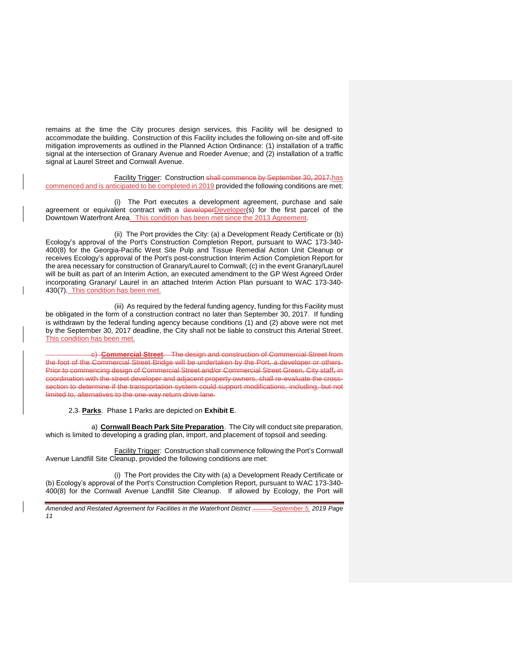remains at the time the City procures design services, this Facility will be designed to accommodate the building. Construction of this Facility includes the following on-site and off-site mitigation improvements as outlined in the Planned Action Ordinance: (1) installation of a traffic signal at the intersection of Granary Avenue and Roeder Avenue; and (2) installation of a traffic signal at Laurel Street and Cornwall Avenue.

Facility Trigger: Construction shall commence by September 30, 2017, has commenced and is anticipated to be completed in 2019 provided the following conditions are met:

(i) The Port executes a development agreement, purchase and sale agreement or equivalent contract with a developerDeveloper(s) for the first parcel of the Downtown Waterfront Area. This condition has been met since the 2013 Agreement.

(ii) The Port provides the City: (a) a Development Ready Certificate or (b) Ecology's approval of the Port's Construction Completion Report, pursuant to WAC 173-340- 400(8) for the Georgia-Pacific West Site Pulp and Tissue Remedial Action Unit Cleanup or receives Ecology's approval of the Port's post-construction Interim Action Completion Report for the area necessary for construction of Granary/Laurel to Cornwall; (c) in the event Granary/Laurel will be built as part of an Interim Action, an executed amendment to the GP West Agreed Order incorporating Granary/ Laurel in an attached Interim Action Plan pursuant to WAC 173-340- 430(7). This condition has been met.

(iii) As required by the federal funding agency, funding for this Facility must be obligated in the form of a construction contract no later than September 30, 2017. If funding is withdrawn by the federal funding agency because conditions (1) and (2) above were not met by the September 30, 2017 deadline, the City shall not be liable to construct this Arterial Street. This condition has been met.

c) **Commercial Street**. The design and construction of Commercial Street from the foot of the Commercial Street Bridge will be undertaken by the Port, a developer or others. Prior to commencing design of Commercial Street and/or Commercial Street Green, City staff, in coordination with the street developer and adjacent property owners, shall re-evaluate the crosssection to determine if the transportation system could support modifications, including, but not limited to, alternatives to the one-way return drive lane.

2.3 **Parks**. Phase 1 Parks are depicted on **Exhibit E**.

a) **Cornwall Beach Park Site Preparation**. The City will conduct site preparation, which is limited to developing a grading plan, import, and placement of topsoil and seeding.

Facility Trigger: Construction shall commence following the Port's Cornwall Avenue Landfill Site Cleanup, provided the following conditions are met:

(i) The Port provides the City with (a) a Development Ready Certificate or (b) Ecology's approval of the Port's Construction Completion Report, pursuant to WAC 173-340- 400(8) for the Cornwall Avenue Landfill Site Cleanup. If allowed by Ecology, the Port will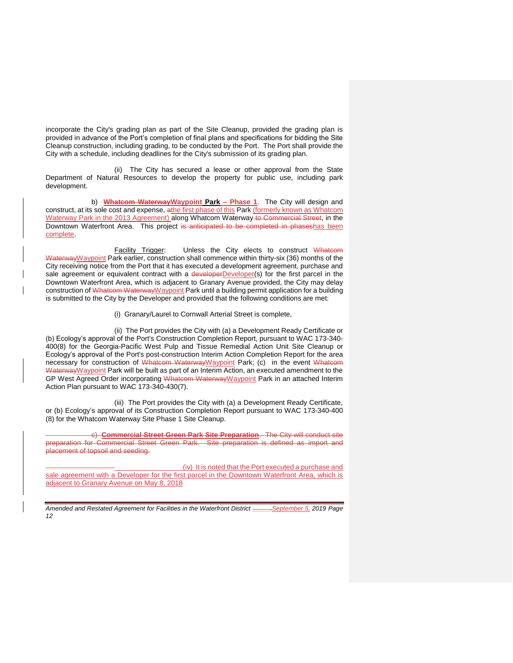incorporate the City's grading plan as part of the Site Cleanup, provided the grading plan is provided in advance of the Port's completion of final plans and specifications for bidding the Site Cleanup construction, including grading, to be conducted by the Port. The Port shall provide the City with a schedule, including deadlines for the City's submission of its grading plan.

(ii) The City has secured a lease or other approval from the State Department of Natural Resources to develop the property for public use, including park development.

b) **Whatcom WaterwayWaypoint Park – Phase 1**. The City will design and construct, at its sole cost and expense, athe first phase of this Park (formerly known as Whatcom Waterway Park in the 2013 Agreement) along Whatcom Waterway to Commercial Street, in the Downtown Waterfront Area. This project is anticipated to be completed in phaseshas been complete.

Facility Trigger: Unless the City elects to construct Whatcom WaterwayWaypoint Park earlier, construction shall commence within thirty-six (36) months of the City receiving notice from the Port that it has executed a development agreement, purchase and sale agreement or equivalent contract with a developerDeveloper(s) for the first parcel in the Downtown Waterfront Area, which is adjacent to Granary Avenue provided, the City may delay construction of Whatcom WaterwayWaypoint Park until a building permit application for a building is submitted to the City by the Developer and provided that the following conditions are met:

(i) Granary/Laurel to Cornwall Arterial Street is complete,

(ii) The Port provides the City with (a) a Development Ready Certificate or (b) Ecology's approval of the Port's Construction Completion Report, pursuant to WAC 173-340- 400(8) for the Georgia-Pacific West Pulp and Tissue Remedial Action Unit Site Cleanup or Ecology's approval of the Port's post-construction Interim Action Completion Report for the area necessary for construction of Whatcom WaterwayWaypoint Park; (c) in the event Whatcom Waterway Waypoint Park will be built as part of an Interim Action, an executed amendment to the GP West Agreed Order incorporating Whatcom Waterway Waypoint Park in an attached Interim Action Plan pursuant to WAC 173-340-430(7).

(iii) The Port provides the City with (a) a Development Ready Certificate, or (b) Ecology's approval of its Construction Completion Report pursuant to WAC 173-340-400 (8) for the Whatcom Waterway Site Phase 1 Site Cleanup.

c) **Commercial Street Green Park Site Preparation**. The City will conduct site preparation for Commercial Street Green Park. Site preparation is defined as import and placement of topsoil and seeding.

(iv) It is noted that the Port executed a purchase and sale agreement with a Developer for the first parcel in the Downtown Waterfront Area, which is adjacent to Granary Avenue on May 8, 2018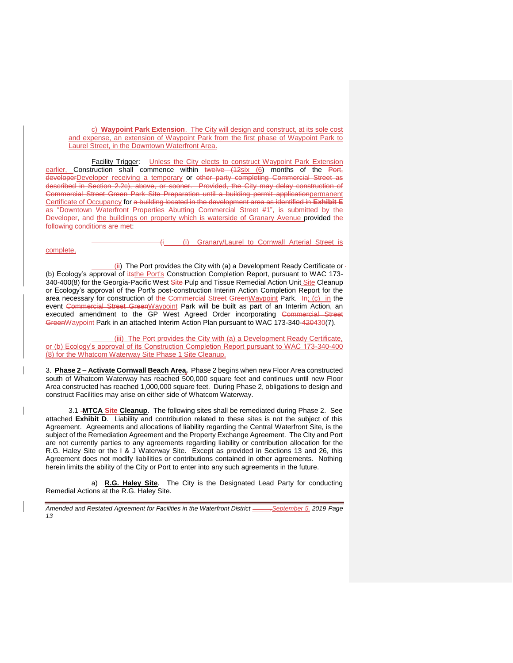c) **Waypoint Park Extension**. The City will design and construct, at its sole cost and expense, an extension of Waypoint Park from the first phase of Waypoint Park to Laurel Street, in the Downtown Waterfront Area.

Facility Trigger: Unless the City elects to construct Waypoint Park Extension earlier, Construction shall commence within twelve (12six (6) months of the Port, developerDeveloper receiving a temporary or other party completing Commercial Street as described in Section 2.2c), above, or sooner. Provided, the City may delay construction of Commercial Street Green Park Site Preparation until a building permit applicationpermanent Certificate of Occupancy for a building located in the development area as identified in **Exhibit E** as "Downtown Waterfront Properties Abutting Commercial Street #1", is submitted by the Developer, and the buildings on property which is waterside of Granary Avenue provided the following conditions are met:

(i) Granary/Laurel to Cornwall Arterial Street is

#### complete,

(ii) The Port provides the City with (a) a Development Ready Certificate or (b) Ecology's approval of itsthe Port's Construction Completion Report, pursuant to WAC 173-340-400(8) for the Georgia-Pacific West Site-Pulp and Tissue Remedial Action Unit Site Cleanup or Ecology's approval of the Port's post-construction Interim Action Completion Report for the area necessary for construction of the Commercial Street GreenWaypoint Park. In; (c) in the event Commercial Street GreenWaypoint Park will be built as part of an Interim Action, an executed amendment to the GP West Agreed Order incorporating Commercial Street GreenWaypoint Park in an attached Interim Action Plan pursuant to WAC 173-340-420430(7).

(iii) The Port provides the City with (a) a Development Ready Certificate, or (b) Ecology's approval of its Construction Completion Report pursuant to WAC 173-340-400 (8) for the Whatcom Waterway Site Phase 1 Site Cleanup.

3. **Phase 2 – Activate Cornwall Beach Area.** Phase 2 begins when new Floor Area constructed south of Whatcom Waterway has reached 500,000 square feet and continues until new Floor Area constructed has reached 1,000,000 square feet. During Phase 2, obligations to design and construct Facilities may arise on either side of Whatcom Waterway.

3.1 **MTCA Site Cleanup**.The following sites shall be remediated during Phase 2. See attached **Exhibit D**. Liability and contribution related to these sites is not the subject of this Agreement. Agreements and allocations of liability regarding the Central Waterfront Site, is the subject of the Remediation Agreement and the Property Exchange Agreement. The City and Port are not currently parties to any agreements regarding liability or contribution allocation for the R.G. Haley Site or the I & J Waterway Site. Except as provided in Sections 13 and 26, this Agreement does not modify liabilities or contributions contained in other agreements. Nothing herein limits the ability of the City or Port to enter into any such agreements in the future.

a) **R.G. Haley Site**. The City is the Designated Lead Party for conducting Remedial Actions at the R.G. Haley Site.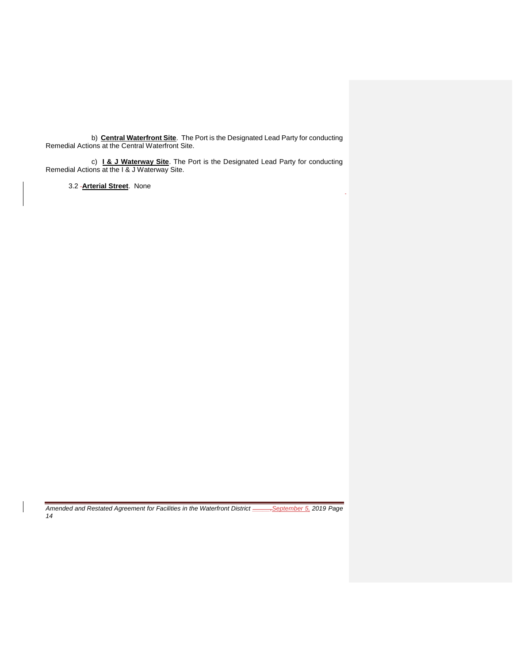b) **Central Waterfront Site**.The Port is the Designated Lead Party for conducting Remedial Actions at the Central Waterfront Site.

c) **I & J Waterway Site**. The Port is the Designated Lead Party for conducting Remedial Actions at the I & J Waterway Site.

3.2 **Arterial Street**. None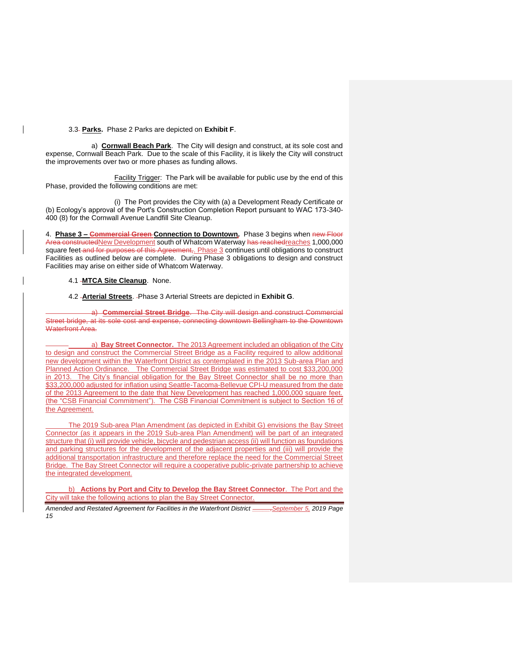#### 3.3 **Parks.** Phase 2 Parks are depicted on **Exhibit F**.

a) **Cornwall Beach Park**.The City will design and construct, at its sole cost and expense, Cornwall Beach Park. Due to the scale of this Facility, it is likely the City will construct the improvements over two or more phases as funding allows.

Facility Trigger: The Park will be available for public use by the end of this Phase, provided the following conditions are met:

(i) The Port provides the City with (a) a Development Ready Certificate or (b) Ecology's approval of the Port's Construction Completion Report pursuant to WAC 173-340- 400 (8) for the Cornwall Avenue Landfill Site Cleanup.

4. **Phase 3 – Commercial Green Connection to Downtown.** Phase 3 begins when new Floor Area constructedNew Development south of Whatcom Waterway has reachedreaches 1,000,000 square feet and for purposes of this Agreement, Phase 3 continues until obligations to construct Facilities as outlined below are complete. During Phase 3 obligations to design and construct Facilities may arise on either side of Whatcom Waterway.

## 4.1 **MTCA Site Cleanup**. None.

#### 4.2 **Arterial Streets**. Phase 3 Arterial Streets are depicted in **Exhibit G**.

a) **Commercial Street Bridge**. The City will design and construct Commercial Street bridge, at its sole cost and expense, connecting downtown Bellingham to the Downtown Waterfront Area.

a) **Bay Street Connector.** The 2013 Agreement included an obligation of the City to design and construct the Commercial Street Bridge as a Facility required to allow additional new development within the Waterfront District as contemplated in the 2013 Sub-area Plan and Planned Action Ordinance. The Commercial Street Bridge was estimated to cost \$33,200,000 in 2013. The City's financial obligation for the Bay Street Connector shall be no more than \$33,200,000 adjusted for inflation using Seattle-Tacoma-Bellevue CPI-U measured from the date of the 2013 Agreement to the date that New Development has reached 1,000,000 square feet. (the "CSB Financial Commitment"). The CSB Financial Commitment is subject to Section 16 of the Agreement.

The 2019 Sub-area Plan Amendment (as depicted in Exhibit G) envisions the Bay Street Connector (as it appears in the 2019 Sub-area Plan Amendment) will be part of an integrated structure that (i) will provide vehicle, bicycle and pedestrian access (ii) will function as foundations and parking structures for the development of the adjacent properties and (iii) will provide the additional transportation infrastructure and therefore replace the need for the Commercial Street Bridge. The Bay Street Connector will require a cooperative public-private partnership to achieve the integrated development.

b) **Actions by Port and City to Develop the Bay Street Connector**. The Port and the City will take the following actions to plan the Bay Street Connector.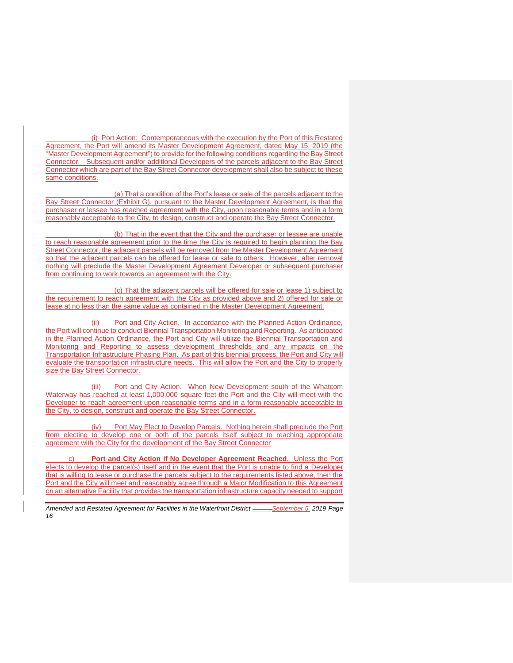(i) Port Action: Contemporaneous with the execution by the Port of this Restated Agreement, the Port will amend its Master Development Agreement, dated May 15, 2019 (the "Master Development Agreement") to provide for the following conditions regarding the Bay Street Connector. Subsequent and/or additional Developers of the parcels adjacent to the Bay Street Connector which are part of the Bay Street Connector development shall also be subject to these same conditions.

(a) That a condition of the Port's lease or sale of the parcels adjacent to the Bay Street Connector (Exhibit G), pursuant to the Master Development Agreement, is that the purchaser or lessee has reached agreement with the City, upon reasonable terms and in a form reasonably acceptable to the City, to design, construct and operate the Bay Street Connector.

(b) That in the event that the City and the purchaser or lessee are unable to reach reasonable agreement prior to the time the City is required to begin planning the Bay Street Connector, the adjacent parcels will be removed from the Master Development Agreement so that the adjacent parcels can be offered for lease or sale to others. However, after removal nothing will preclude the Master Development Agreement Developer or subsequent purchaser from continuing to work towards an agreement with the City.

(c) That the adjacent parcels will be offered for sale or lease 1) subject to the requirement to reach agreement with the City as provided above and 2) offered for sale or lease at no less than the same value as contained in the Master Development Agreement.

(ii) Port and City Action. In accordance with the Planned Action Ordinance, the Port will continue to conduct Biennial Transportation Monitoring and Reporting. As anticipated in the Planned Action Ordinance, the Port and City will utilize the Biennial Transportation and Monitoring and Reporting to assess development thresholds and any impacts on the Transportation Infrastructure Phasing Plan. As part of this biennial process, the Port and City will evaluate the transportation infrastructure needs. This will allow the Port and the City to properly size the Bay Street Connector.

(iii) Port and City Action. When New Development south of the Whatcom Waterway has reached at least 1,000,000 square feet the Port and the City will meet with the Developer to reach agreement upon reasonable terms and in a form reasonably acceptable to the City, to design, construct and operate the Bay Street Connector.

(iv) Port May Elect to Develop Parcels. Nothing herein shall preclude the Port from electing to develop one or both of the parcels itself subject to reaching appropriate agreement with the City for the development of the Bay Street Connector

Port and City Action if No Developer Agreement Reached. Unless the Port elects to develop the parcel(s) itself and in the event that the Port is unable to find a Developer that is willing to lease or purchase the parcels subject to the requirements listed above, then the Port and the City will meet and reasonably agree through a Major Modification to this Agreement on an alternative Facility that provides the transportation infrastructure capacity needed to support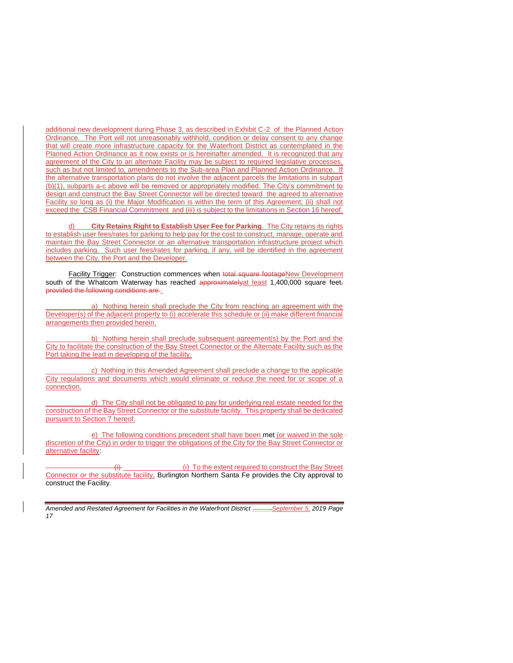additional new development during Phase 3, as described in Exhibit C-2 of the Planned Action Ordinance. The Port will not unreasonably withhold, condition or delay consent to any change that will create more infrastructure capacity for the Waterfront District as contemplated in the Planned Action Ordinance as it now exists or is hereinafter amended. It is recognized that any agreement of the City to an alternate Facility may be subject to required legislative processes, such as but not limited to, amendments to the Sub-area Plan and Planned Action Ordinance. If the alternative transportation plans do not involve the adjacent parcels the limitations in subpart (b)(1), subparts a-c above will be removed or appropriately modified. The City's commitment to design and construct the Bay Street Connector will be directed toward the agreed to alternative Facility so long as (i) the Major Modification is within the term of this Agreement; (ii) shall not exceed the CSB Financial Commitment and (iii) is subject to the limitations in Section 16 hereof.

d) **City Retains Right to Establish User Fee for Parking**. The City retains its rights to establish user fees/rates for parking to help pay for the cost to construct, manage, operate and maintain the Bay Street Connector or an alternative transportation infrastructure project which includes parking. Such user fees/rates for parking, if any, will be identified in the agreement between the City, the Port and the Developer.

Facility Trigger: Construction commences when total square footageNew Development south of the Whatcom Waterway has reached approximately at least 1,400,000 square feet, provided the following conditions are .

a) Nothing herein shall preclude the City from reaching an agreement with the Developer(s) of the adjacent property to (i) accelerate this schedule or (ii) make different financial arrangements then provided herein.

b) Nothing herein shall preclude subsequent agreement(s) by the Port and the City to facilitate the construction of the Bay Street Connector or the Alternate Facility such as the Port taking the lead in developing of the facility.

c) Nothing in this Amended Agreement shall preclude a change to the applicable City regulations and documents which would eliminate or reduce the need for or scope of a connection.

d) The City shall not be obligated to pay for underlying real estate needed for the construction of the Bay Street Connector or the substitute facility. This property shall be dedicated pursuant to Section 7 hereof.

e) The following conditions precedent shall have been met (or waived in the sole discretion of the City) in order to trigger the obligations of the City for the Bay Street Connector or alternative facility:

(i) To the extent required to construct the Bay Street Connector or the substitute facility. Burlington Northern Santa Fe provides the City approval to construct the Facility.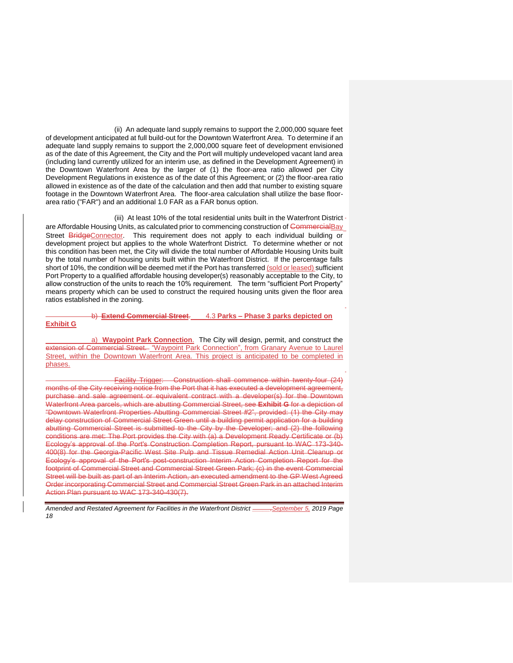(ii) An adequate land supply remains to support the 2,000,000 square feet of development anticipated at full build-out for the Downtown Waterfront Area. To determine if an adequate land supply remains to support the 2,000,000 square feet of development envisioned as of the date of this Agreement, the City and the Port will multiply undeveloped vacant land area (including land currently utilized for an interim use, as defined in the Development Agreement) in the Downtown Waterfront Area by the larger of (1) the floor-area ratio allowed per City Development Regulations in existence as of the date of this Agreement; or (2) the floor-area ratio allowed in existence as of the date of the calculation and then add that number to existing square footage in the Downtown Waterfront Area. The floor-area calculation shall utilize the base floorarea ratio ("FAR") and an additional 1.0 FAR as a FAR bonus option.

(iii) At least 10% of the total residential units built in the Waterfront District are Affordable Housing Units, as calculated prior to commencing construction of CommercialBay Street **BridgeConnector**. This requirement does not apply to each individual building or development project but applies to the whole Waterfront District. To determine whether or not this condition has been met, the City will divide the total number of Affordable Housing Units built by the total number of housing units built within the Waterfront District. If the percentage falls short of 10%, the condition will be deemed met if the Port has transferred (sold or leased) sufficient Port Property to a qualified affordable housing developer(s) reasonably acceptable to the City, to allow construction of the units to reach the 10% requirement. The term "sufficient Port Property" means property which can be used to construct the required housing units given the floor area ratios established in the zoning.

## b) **Extend Commercial Street**. 4.3 **Parks – Phase 3 parks depicted on Exhibit G**

a) **Waypoint Park Connection**. The City will design, permit, and construct the extension of Commercial Street. "Waypoint Park Connection", from Granary Avenue to Laurel Street, within the Downtown Waterfront Area. This project is anticipated to be completed in phases.

Facility Trigger: Construction shall commence within twenty-four (24) months of the City receiving notice from the Port that it has executed a development agreement, purchase and sale agreement or equivalent contract with a developer(s) for the Downtown Waterfront Area parcels, which are abutting Commercial Street, see **Exhibit G** for a depiction of "Downtown Waterfront Properties Abutting Commercial Street #2", provided: (1) the City may delay construction of Commercial Street Green until a building permit application for a building abutting Commercial Street is submitted to the City by the Developer; and (2) the following conditions are met: The Port provides the City with (a) a Development Ready Certificate or (b) Ecology's approval of the Port's Construction Completion Report, pursuant to WAC 173-340- 400(8) for the Georgia-Pacific West Site Pulp and Tissue Remedial Action Unit Cleanup or Ecology's approval of the Port's post-construction Interim Action Completion Report for the footprint of Commercial Street and Commercial Street Green Park; (c) in the event Commercial Street will be built as part of an Interim Action, an executed amendment to the GP West Agreed Order incorporating Commercial Street and Commercial Street Green Park in an attached Interim Action Plan pursuant to WAC 173-340-430(7).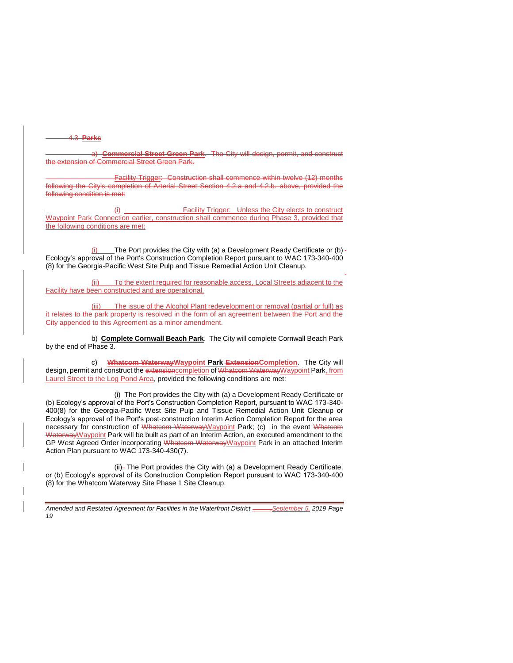### 4.3 **Parks**

a) **Commercial Street Green Park**. The City will design, permit, and construct the extension of Commercial Street Green Park.

Facility Trigger: Construction shall commence within twelve (12) months following the City's completion of Arterial Street Section 4.2.a and 4.2.b. above, provided the following condition is met:

Facility Trigger: Unless the City elects to construct Waypoint Park Connection earlier, construction shall commence during Phase 3, provided that the following conditions are met:

(i) The Port provides the City with (a) a Development Ready Certificate or (b) Ecology's approval of the Port's Construction Completion Report pursuant to WAC 173-340-400 (8) for the Georgia-Pacific West Site Pulp and Tissue Remedial Action Unit Cleanup.

(ii) To the extent required for reasonable access, Local Streets adjacent to the Facility have been constructed and are operational.

(iii) The issue of the Alcohol Plant redevelopment or removal (partial or full) as it relates to the park property is resolved in the form of an agreement between the Port and the City appended to this Agreement as a minor amendment.

b) **Complete Cornwall Beach Park**. The City will complete Cornwall Beach Park by the end of Phase 3.

c) **Whatcom WaterwayWaypoint Park ExtensionCompletion**. The City will design, permit and construct the extension completion of Whatcom Waterway Waypoint Park, from Laurel Street to the Log Pond Area, provided the following conditions are met:

(i) The Port provides the City with (a) a Development Ready Certificate or (b) Ecology's approval of the Port's Construction Completion Report, pursuant to WAC 173-340- 400(8) for the Georgia-Pacific West Site Pulp and Tissue Remedial Action Unit Cleanup or Ecology's approval of the Port's post-construction Interim Action Completion Report for the area necessary for construction of Whatcom Waterway Waypoint Park; (c) in the event Whatcom WaterwayWaypoint Park will be built as part of an Interim Action, an executed amendment to the GP West Agreed Order incorporating Whateom Waterway Waypoint Park in an attached Interim Action Plan pursuant to WAC 173-340-430(7).

(ii)- The Port provides the City with (a) a Development Ready Certificate, or (b) Ecology's approval of its Construction Completion Report pursuant to WAC 173-340-400 (8) for the Whatcom Waterway Site Phase 1 Site Cleanup.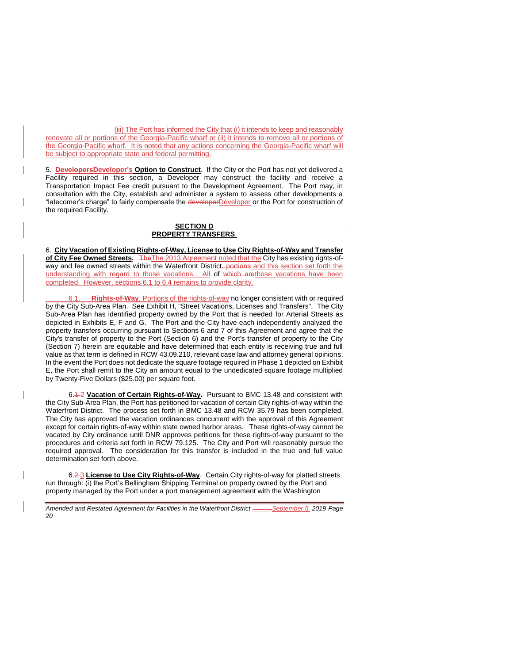(iii) The Port has informed the City that (i) it intends to keep and reasonably renovate all or portions of the Georgia-Pacific wharf or (ii) it intends to remove all or portions of the Georgia-Pacific wharf. It is noted that any actions concerning the Georgia-Pacific wharf will be subject to appropriate state and federal permitting.

5. **DevelopersDeveloper's Option to Construct**. If the City or the Port has not yet delivered a Facility required in this section, a Developer may construct the facility and receive a Transportation Impact Fee credit pursuant to the Development Agreement. The Port may, in consultation with the City, establish and administer a system to assess other developments a "latecomer's charge" to fairly compensate the developerDeveloper or the Port for construction of the required Facility.

## **SECTION D PROPERTY TRANSFERS**.

6. **City Vacation of Existing Rights-of-Way, License to Use City Rights-of-Way and Transfer of City Fee Owned Streets.** TheThe 2013 Agreement noted that the City has existing rights-ofway and fee owned streets within the Waterfront District<del>, portions</del> and this section set forth the understanding with regard to those vacations. All of which arethose vacations have been completed. However, sections 6.1 to 6.4 remains to provide clarity.

**Rights-of-Way**, Portions of the rights-of-way no longer consistent with or required by the City Sub-Area Plan. See Exhibit H, "Street Vacations, Licenses and Transfers". The City Sub-Area Plan has identified property owned by the Port that is needed for Arterial Streets as depicted in Exhibits E, F and G. The Port and the City have each independently analyzed the property transfers occurring pursuant to Sections 6 and 7 of this Agreement and agree that the City's transfer of property to the Port (Section 6) and the Port's transfer of property to the City (Section 7) herein are equitable and have determined that each entity is receiving true and full value as that term is defined in RCW 43.09.210, relevant case law and attorney general opinions. In the event the Port does not dedicate the square footage required in Phase 1 depicted on Exhibit E, the Port shall remit to the City an amount equal to the undedicated square footage multiplied by Twenty-Five Dollars (\$25.00) per square foot.

6.4-2 Vacation of Certain Rights-of-Way. Pursuant to BMC 13.48 and consistent with the City Sub-Area Plan, the Port has petitioned for vacation of certain City rights-of-way within the Waterfront District. The process set forth in BMC 13.48 and RCW 35.79 has been completed. The City has approved the vacation ordinances concurrent with the approval of this Agreement except for certain rights-of-way within state owned harbor areas. These rights-of-way cannot be vacated by City ordinance until DNR approves petitions for these rights-of-way pursuant to the procedures and criteria set forth in RCW 79.125. The City and Port will reasonably pursue the required approval. The consideration for this transfer is included in the true and full value determination set forth above.

6.2 3 **License to Use City Rights-of-Way**. Certain City rights-of-way for platted streets run through: (i) the Port's Bellingham Shipping Terminal on property owned by the Port and property managed by the Port under a port management agreement with the Washington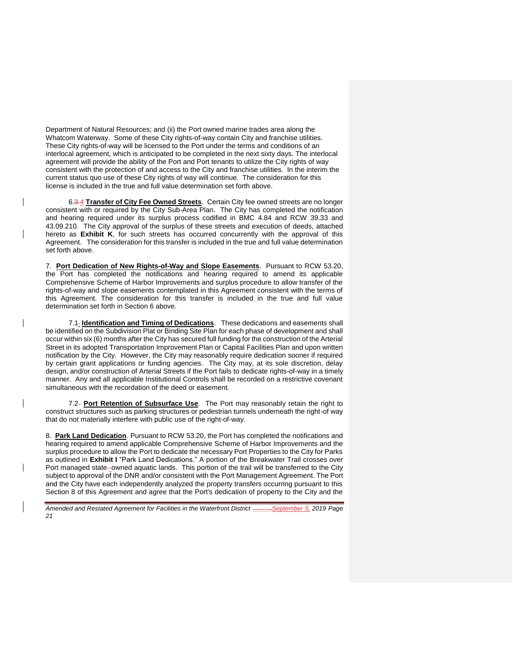Department of Natural Resources; and (ii) the Port owned marine trades area along the Whatcom Waterway. Some of these City rights-of-way contain City and franchise utilities. These City rights-of-way will be licensed to the Port under the terms and conditions of an interlocal agreement, which is anticipated to be completed in the next sixty days. The interlocal agreement will provide the ability of the Port and Port tenants to utilize the City rights of way consistent with the protection of and access to the City and franchise utilities. In the interim the current status quo use of these City rights of way will continue. The consideration for this license is included in the true and full value determination set forth above.

6.3 4 **Transfer of City Fee Owned Streets**. Certain City fee owned streets are no longer consistent with or required by the City Sub-Area Plan. The City has completed the notification and hearing required under its surplus process codified in BMC 4.84 and RCW 39.33 and 43.09.210. The City approval of the surplus of these streets and execution of deeds, attached hereto as **Exhibit K**, for such streets has occurred concurrently with the approval of this Agreement. The consideration for this transfer is included in the true and full value determination set forth above.

7. **Port Dedication of New Rights-of-Way and Slope Easements**. Pursuant to RCW 53.20, the Port has completed the notifications and hearing required to amend its applicable Comprehensive Scheme of Harbor Improvements and surplus procedure to allow transfer of the rights-of-way and slope easements contemplated in this Agreement consistent with the terms of this Agreement. The consideration for this transfer is included in the true and full value determination set forth in Section 6 above.

7.1<sub>-</sub> Identification and Timing of Dedications. These dedications and easements shall be identified on the Subdivision Plat or Binding Site Plan for each phase of development and shall occur within six (6) months after the City has secured full funding for the construction of the Arterial Street in its adopted Transportation Improvement Plan or Capital Facilities Plan and upon written notification by the City. However, the City may reasonably require dedication sooner if required by certain grant applications or funding agencies. The City may, at its sole discretion, delay design, and/or construction of Arterial Streets if the Port fails to dedicate rights-of-way in a timely manner. Any and all applicable Institutional Controls shall be recorded on a restrictive covenant simultaneous with the recordation of the deed or easement.

7.2 **Port Retention of Subsurface Use**. The Port may reasonably retain the right to construct structures such as parking structures or pedestrian tunnels underneath the right-of way that do not materially interfere with public use of the right-of-way.

8. **Park Land Dedication**. Pursuant to RCW 53.20, the Port has completed the notifications and hearing required to amend applicable Comprehensive Scheme of Harbor Improvements and the surplus procedure to allow the Port to dedicate the necessary Port Properties to the City for Parks as outlined in **Exhibit I** "Park Land Dedications." A portion of the Breakwater Trail crosses over Port managed state--owned aquatic lands. This portion of the trail will be transferred to the City subject to approval of the DNR and/or consistent with the Port Management Agreement. The Port and the City have each independently analyzed the property transfers occurring pursuant to this Section 8 of this Agreement and agree that the Port's dedication of property to the City and the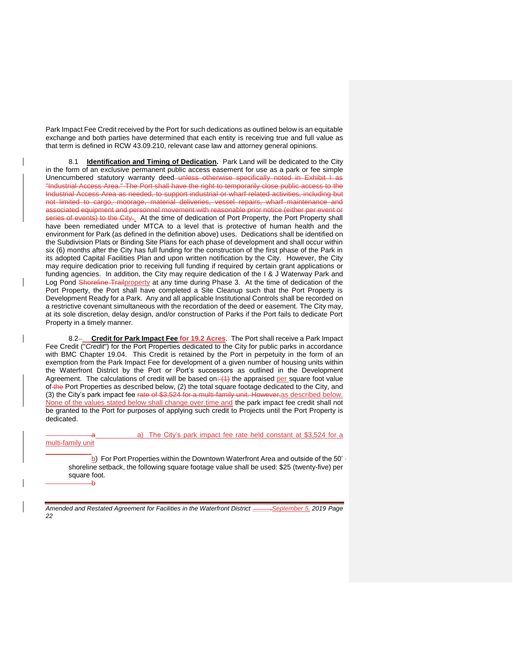Park Impact Fee Credit received by the Port for such dedications as outlined below is an equitable exchange and both parties have determined that each entity is receiving true and full value as that term is defined in RCW 43.09.210, relevant case law and attorney general opinions.

8.1 **Identification and Timing of Dedication.** Park Land will be dedicated to the City in the form of an exclusive permanent public access easement for use as a park or fee simple Unencumbered statutory warranty deed unless otherwise specifically noted in Exhibit I as "Industrial Access Area." The Port shall have the right to temporarily close public access to the Industrial Access Area as needed, to support industrial or wharf related activities, including but not limited to cargo, moorage, material deliveries, vessel repairs, wharf maintenance and associated equipment and personnel movement with reasonable prior notice (either per event or series of events) to the City... At the time of dedication of Port Property, the Port Property shall have been remediated under MTCA to a level that is protective of human health and the environment for Park (as defined in the definition above) uses. Dedications shall be identified on the Subdivision Plats or Binding Site Plans for each phase of development and shall occur within six (6) months after the City has full funding for the construction of the first phase of the Park in its adopted Capital Facilities Plan and upon written notification by the City. However, the City may require dedication prior to receiving full funding if required by certain grant applications or funding agencies. In addition, the City may require dedication of the I & J Waterway Park and Log Pond Shoreline Trailproperty at any time during Phase 3. At the time of dedication of the Port Property, the Port shall have completed a Site Cleanup such that the Port Property is Development Ready for a Park. Any and all applicable Institutional Controls shall be recorded on a restrictive covenant simultaneous with the recordation of the deed or easement. The City may, at its sole discretion, delay design, and/or construction of Parks if the Port fails to dedicate Port Property in a timely manner.

8.2 **Credit for Park Impact Fee for 19.2 Acres**. The Port shall receive a Park Impact Fee Credit ("*Credit*") for the Port Properties dedicated to the City for public parks in accordance with BMC Chapter 19.04. This Credit is retained by the Port in perpetuity in the form of an exemption from the Park Impact Fee for development of a given number of housing units within the Waterfront District by the Port or Port's successors as outlined in the Development Agreement. The calculations of credit will be based on:  $(1)$  the appraised per square foot value of the Port Properties as described below, (2) the total square footage dedicated to the City, and (3) the City's park impact fee rate of \$3,524 for a multi-family unit. However, as described below. None of the values stated below shall change over time and the park impact fee credit shall not be granted to the Port for purposes of applying such credit to Projects until the Port Property is dedicated.

#### a) The City's park impact fee rate held constant at \$3,524 for a multi-family unit

b) For Port Properties within the Downtown Waterfront Area and outside of the 50' shoreline setback, the following square footage value shall be used: \$25 (twenty-five) per square foot. b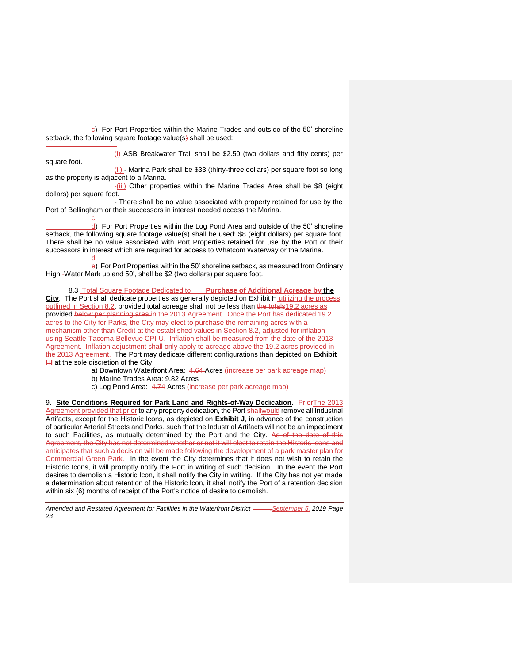$\overline{c}$ ) For Port Properties within the Marine Trades and outside of the 50' shoreline setback, the following square footage value(s) shall be used:

square foot.

-

c

(i) ASB Breakwater Trail shall be \$2.50 (two dollars and fifty cents) per

(ii) - Marina Park shall be \$33 (thirty-three dollars) per square foot so long as the property is adjacent to a Marina.

-(iii) Other properties within the Marine Trades Area shall be \$8 (eight dollars) per square foot.

- There shall be no value associated with property retained for use by the Port of Bellingham or their successors in interest needed access the Marina.

d) For Port Properties within the Log Pond Area and outside of the 50' shoreline setback, the following square footage value(s) shall be used: \$8 (eight dollars) per square foot. There shall be no value associated with Port Properties retained for use by the Port or their successors in interest which are required for access to Whatcom Waterway or the Marina. d

e) For Port Properties within the 50' shoreline setback, as measured from Ordinary High--Water Mark upland 50', shall be \$2 (two dollars) per square foot.

8.3 Total Square Footage Dedicated to **Purchase of Additional Acreage by the City**. The Port shall dedicate properties as generally depicted on Exhibit H utilizing the process outlined in Section 8.2, provided total acreage shall not be less than the totals19.2 acres as provided below per planning area.in the 2013 Agreement. Once the Port has dedicated 19.2 acres to the City for Parks, the City may elect to purchase the remaining acres with a mechanism other than Credit at the established values in Section 8.2, adjusted for inflation using Seattle-Tacoma-Bellevue CPI-U. Inflation shall be measured from the date of the 2013 Agreement. Inflation adjustment shall only apply to acreage above the 19.2 acres provided in the 2013 Agreement. The Port may dedicate different configurations than depicted on **Exhibit HI** at the sole discretion of the City.

a) Downtown Waterfront Area: 4.64 Acres (increase per park acreage map)

b) Marine Trades Area: 9.82 Acres

c) Log Pond Area: 4.74 Acres (increase per park acreage map)

9. **Site Conditions Required for Park Land and Rights-of-Way Dedication**. Prior The 2013 Agreement provided that prior to any property dedication, the Port shallwould remove all Industrial Artifacts, except for the Historic Icons, as depicted on **Exhibit J**, in advance of the construction of particular Arterial Streets and Parks, such that the Industrial Artifacts will not be an impediment to such Facilities, as mutually determined by the Port and the City. As of the date of this Agreement, the City has not determined whether or not it will elect to retain the Historic Icons and anticipates that such a decision will be made following the development of a park master plan for Commercial Green Park. In the event the City determines that it does not wish to retain the Historic Icons, it will promptly notify the Port in writing of such decision. In the event the Port desires to demolish a Historic Icon, it shall notify the City in writing. If the City has not yet made a determination about retention of the Historic Icon, it shall notify the Port of a retention decision within six (6) months of receipt of the Port's notice of desire to demolish.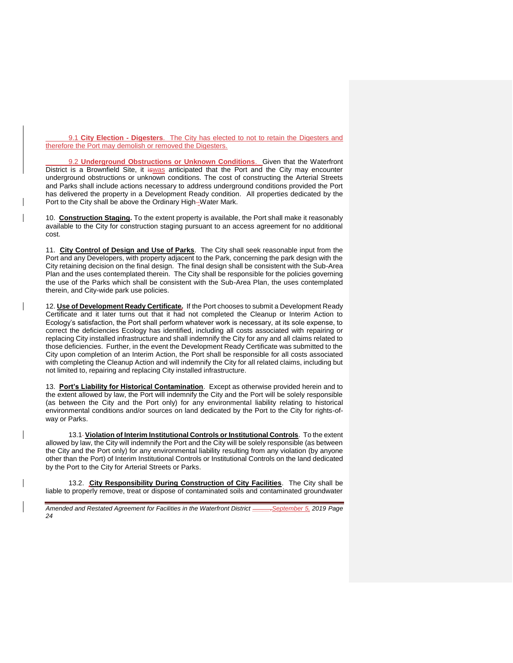9.1 **City Election - Digesters**. The City has elected to not to retain the Digesters and therefore the Port may demolish or removed the Digesters.

9.2 **Underground Obstructions or Unknown Conditions**. Given that the Waterfront District is a Brownfield Site, it is was anticipated that the Port and the City may encounter underground obstructions or unknown conditions. The cost of constructing the Arterial Streets and Parks shall include actions necessary to address underground conditions provided the Port has delivered the property in a Development Ready condition. All properties dedicated by the Port to the City shall be above the Ordinary High-Water Mark.

10. **Construction Staging.** To the extent property is available, the Port shall make it reasonably available to the City for construction staging pursuant to an access agreement for no additional cost.

11. **City Control of Design and Use of Parks**. The City shall seek reasonable input from the Port and any Developers, with property adjacent to the Park, concerning the park design with the City retaining decision on the final design. The final design shall be consistent with the Sub-Area Plan and the uses contemplated therein. The City shall be responsible for the policies governing the use of the Parks which shall be consistent with the Sub-Area Plan, the uses contemplated therein, and City-wide park use policies.

12. **Use of Development Ready Certificate.** If the Port chooses to submit a Development Ready Certificate and it later turns out that it had not completed the Cleanup or Interim Action to Ecology's satisfaction, the Port shall perform whatever work is necessary, at its sole expense, to correct the deficiencies Ecology has identified, including all costs associated with repairing or replacing City installed infrastructure and shall indemnify the City for any and all claims related to those deficiencies. Further, in the event the Development Ready Certificate was submitted to the City upon completion of an Interim Action, the Port shall be responsible for all costs associated with completing the Cleanup Action and will indemnify the City for all related claims, including but not limited to, repairing and replacing City installed infrastructure.

13. **Port's Liability for Historical Contamination**. Except as otherwise provided herein and to the extent allowed by law, the Port will indemnify the City and the Port will be solely responsible (as between the City and the Port only) for any environmental liability relating to historical environmental conditions and/or sources on land dedicated by the Port to the City for rights-ofway or Parks.

13.1 **Violation of Interim Institutional Controls or Institutional Controls**. To the extent allowed by law, the City will indemnify the Port and the City will be solely responsible (as between the City and the Port only) for any environmental liability resulting from any violation (by anyone other than the Port) of Interim Institutional Controls or Institutional Controls on the land dedicated by the Port to the City for Arterial Streets or Parks.

13.2. **City Responsibility During Construction of City Facilities**. The City shall be liable to properly remove, treat or dispose of contaminated soils and contaminated groundwater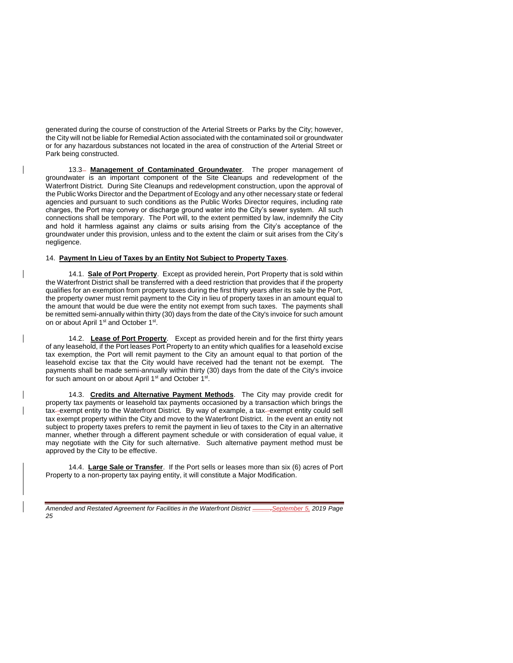generated during the course of construction of the Arterial Streets or Parks by the City; however, the City will not be liable for Remedial Action associated with the contaminated soil or groundwater or for any hazardous substances not located in the area of construction of the Arterial Street or Park being constructed.

13.3 **Management of Contaminated Groundwater**. The proper management of groundwater is an important component of the Site Cleanups and redevelopment of the Waterfront District. During Site Cleanups and redevelopment construction, upon the approval of the Public Works Director and the Department of Ecology and any other necessary state or federal agencies and pursuant to such conditions as the Public Works Director requires, including rate charges, the Port may convey or discharge ground water into the City's sewer system. All such connections shall be temporary. The Port will, to the extent permitted by law, indemnify the City and hold it harmless against any claims or suits arising from the City's acceptance of the groundwater under this provision, unless and to the extent the claim or suit arises from the City's negligence.

#### 14. **Payment In Lieu of Taxes by an Entity Not Subject to Property Taxes**.

14.1. **Sale of Port Property**. Except as provided herein, Port Property that is sold within the Waterfront District shall be transferred with a deed restriction that provides that if the property qualifies for an exemption from property taxes during the first thirty years after its sale by the Port, the property owner must remit payment to the City in lieu of property taxes in an amount equal to the amount that would be due were the entity not exempt from such taxes. The payments shall be remitted semi-annually within thirty (30) days from the date of the City's invoice for such amount on or about April 1<sup>st</sup> and October 1<sup>st</sup>.

14.2. **Lease of Port Property**. Except as provided herein and for the first thirty years of any leasehold, if the Port leases Port Property to an entity which qualifies for a leasehold excise tax exemption, the Port will remit payment to the City an amount equal to that portion of the leasehold excise tax that the City would have received had the tenant not be exempt. The payments shall be made semi-annually within thirty (30) days from the date of the City's invoice for such amount on or about April 1<sup>st</sup> and October 1<sup>st</sup>.

14.3. **Credits and Alternative Payment Methods**. The City may provide credit for property tax payments or leasehold tax payments occasioned by a transaction which brings the tax-exempt entity to the Waterfront District. By way of example, a tax-exempt entity could sell tax exempt property within the City and move to the Waterfront District. In the event an entity not subject to property taxes prefers to remit the payment in lieu of taxes to the City in an alternative manner, whether through a different payment schedule or with consideration of equal value, it may negotiate with the City for such alternative. Such alternative payment method must be approved by the City to be effective.

14.4. **Large Sale or Transfer**. If the Port sells or leases more than six (6) acres of Port Property to a non-property tax paying entity, it will constitute a Major Modification.

*Amended and Restated Agreement for Facilities in the Waterfront District \_\_\_\_\_,September 5, 2019 Page 25*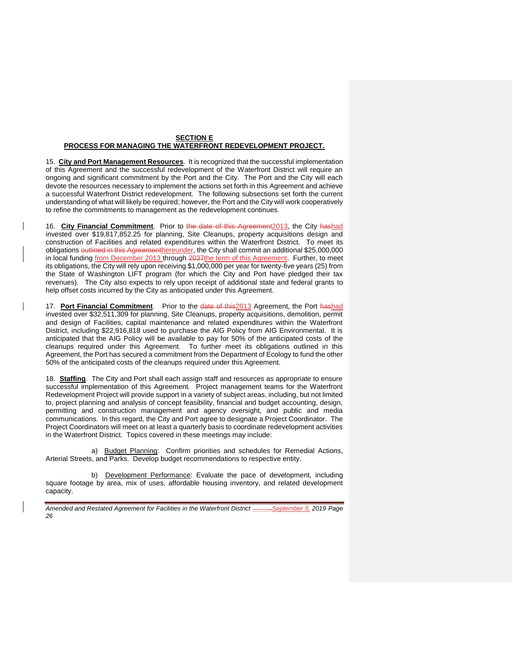## **SECTION E PROCESS FOR MANAGING THE WATERFRONT REDEVELOPMENT PROJECT.**

15. **City and Port Management Resources**. It is recognized that the successful implementation of this Agreement and the successful redevelopment of the Waterfront District will require an ongoing and significant commitment by the Port and the City. The Port and the City will each devote the resources necessary to implement the actions set forth in this Agreement and achieve a successful Waterfront District redevelopment. The following subsections set forth the current understanding of what will likely be required; however, the Port and the City will work cooperatively to refine the commitments to management as the redevelopment continues.

16. City Financial Commitment. Prior to the date of this Agreement<sup>2013</sup>, the City hashad invested over \$19,817,852.25 for planning, Site Cleanups, property acquisitions design and construction of Facilities and related expenditures within the Waterfront District. To meet its obligations outlined in this Agreementhereunder, the City shall commit an additional \$25,000,000 in local funding from December 2013 through 2037the term of this Agreement. Further, to meet its obligations, the City will rely upon receiving \$1,000,000 per year for twenty-five years (25) from the State of Washington LIFT program (for which the City and Port have pledged their tax revenues). The City also expects to rely upon receipt of additional state and federal grants to help offset costs incurred by the City as anticipated under this Agreement.

17. **Port Financial Commitment**.Prior to the date of this2013 Agreement, the Port hashad invested over \$32,511,309 for planning, Site Cleanups, property acquisitions, demolition, permit and design of Facilities, capital maintenance and related expenditures within the Waterfront District, including \$22,916,818 used to purchase the AIG Policy from AIG Environmental. It is anticipated that the AIG Policy will be available to pay for 50% of the anticipated costs of the cleanups required under this Agreement. To further meet its obligations outlined in this Agreement, the Port has secured a commitment from the Department of Ecology to fund the other 50% of the anticipated costs of the cleanups required under this Agreement.

18. **Staffing**.The City and Port shall each assign staff and resources as appropriate to ensure successful implementation of this Agreement. Project management teams for the Waterfront Redevelopment Project will provide support in a variety of subject areas, including, but not limited to, project planning and analysis of concept feasibility, financial and budget accounting, design, permitting and construction management and agency oversight, and public and media communications. In this regard, the City and Port agree to designate a Project Coordinator. The Project Coordinators will meet on at least a quarterly basis to coordinate redevelopment activities in the Waterfront District. Topics covered in these meetings may include:

a) Budget Planning: Confirm priorities and schedules for Remedial Actions, Arterial Streets, and Parks. Develop budget recommendations to respective entity.

b) Development Performance: Evaluate the pace of development, including square footage by area, mix of uses, affordable housing inventory, and related development capacity.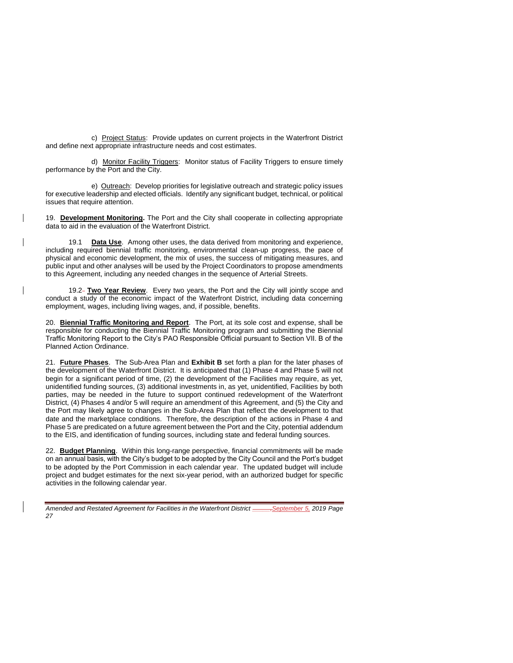c) Project Status: Provide updates on current projects in the Waterfront District and define next appropriate infrastructure needs and cost estimates.

d) Monitor Facility Triggers: Monitor status of Facility Triggers to ensure timely performance by the Port and the City.

e) Outreach: Develop priorities for legislative outreach and strategic policy issues for executive leadership and elected officials. Identify any significant budget, technical, or political issues that require attention.

19. **Development Monitoring.** The Port and the City shall cooperate in collecting appropriate data to aid in the evaluation of the Waterfront District.

19.1 **Data Use**. Among other uses, the data derived from monitoring and experience, including required biennial traffic monitoring, environmental clean-up progress, the pace of physical and economic development, the mix of uses, the success of mitigating measures, and public input and other analyses will be used by the Project Coordinators to propose amendments to this Agreement, including any needed changes in the sequence of Arterial Streets.

19.2 **Two Year Review**. Every two years, the Port and the City will jointly scope and conduct a study of the economic impact of the Waterfront District, including data concerning employment, wages, including living wages, and, if possible, benefits.

20. **Biennial Traffic Monitoring and Report**. The Port, at its sole cost and expense, shall be responsible for conducting the Biennial Traffic Monitoring program and submitting the Biennial Traffic Monitoring Report to the City's PAO Responsible Official pursuant to Section VII. B of the Planned Action Ordinance.

21. **Future Phases**. The Sub-Area Plan and **Exhibit B** set forth a plan for the later phases of the development of the Waterfront District. It is anticipated that (1) Phase 4 and Phase 5 will not begin for a significant period of time, (2) the development of the Facilities may require, as yet, unidentified funding sources, (3) additional investments in, as yet, unidentified, Facilities by both parties, may be needed in the future to support continued redevelopment of the Waterfront District, (4) Phases 4 and/or 5 will require an amendment of this Agreement, and (5) the City and the Port may likely agree to changes in the Sub-Area Plan that reflect the development to that date and the marketplace conditions. Therefore, the description of the actions in Phase 4 and Phase 5 are predicated on a future agreement between the Port and the City, potential addendum to the EIS, and identification of funding sources, including state and federal funding sources.

22. **Budget Planning**. Within this long-range perspective, financial commitments will be made on an annual basis, with the City's budget to be adopted by the City Council and the Port's budget to be adopted by the Port Commission in each calendar year. The updated budget will include project and budget estimates for the next six-year period, with an authorized budget for specific activities in the following calendar year.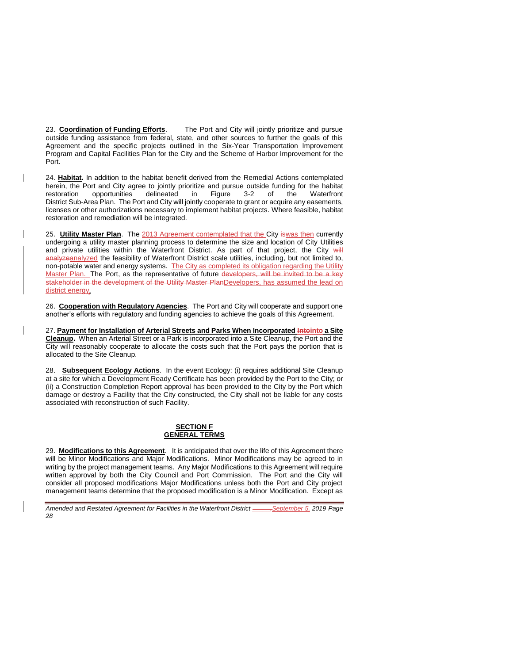23. **Coordination of Funding Efforts**. The Port and City will jointly prioritize and pursue outside funding assistance from federal, state, and other sources to further the goals of this Agreement and the specific projects outlined in the Six-Year Transportation Improvement Program and Capital Facilities Plan for the City and the Scheme of Harbor Improvement for the Port.

24. **Habitat.** In addition to the habitat benefit derived from the Remedial Actions contemplated herein, the Port and City agree to jointly prioritize and pursue outside funding for the habitat restoration opportunities delineated in Figure 3-2 of the Waterfront District Sub-Area Plan. The Port and City will jointly cooperate to grant or acquire any easements, licenses or other authorizations necessary to implement habitat projects. Where feasible, habitat restoration and remediation will be integrated.

25. **Utility Master Plan**. The 2013 Agreement contemplated that the City iswas then currently undergoing a utility master planning process to determine the size and location of City Utilities and private utilities within the Waterfront District. As part of that project, the City will analyzeanalyzed the feasibility of Waterfront District scale utilities, including, but not limited to, non-potable water and energy systems. The City as completed its obligation regarding the Utility Master Plan. The Port, as the representative of future developers, will be invited to be a key stakeholder in the development of the Utility Master PlanDevelopers, has assumed the lead on district energy.

26. **Cooperation with Regulatory Agencies**. The Port and City will cooperate and support one another's efforts with regulatory and funding agencies to achieve the goals of this Agreement.

27. **Payment for Installation of Arterial Streets and Parks When Incorporated Intointo a Site Cleanup.** When an Arterial Street or a Park is incorporated into a Site Cleanup, the Port and the City will reasonably cooperate to allocate the costs such that the Port pays the portion that is allocated to the Site Cleanup.

28. **Subsequent Ecology Actions**. In the event Ecology: (i) requires additional Site Cleanup at a site for which a Development Ready Certificate has been provided by the Port to the City; or (ii) a Construction Completion Report approval has been provided to the City by the Port which damage or destroy a Facility that the City constructed, the City shall not be liable for any costs associated with reconstruction of such Facility.

## **SECTION F GENERAL TERMS**

29. **Modifications to this Agreement**. It is anticipated that over the life of this Agreement there will be Minor Modifications and Major Modifications. Minor Modifications may be agreed to in writing by the project management teams. Any Major Modifications to this Agreement will require written approval by both the City Council and Port Commission. The Port and the City will consider all proposed modifications Major Modifications unless both the Port and City project management teams determine that the proposed modification is a Minor Modification. Except as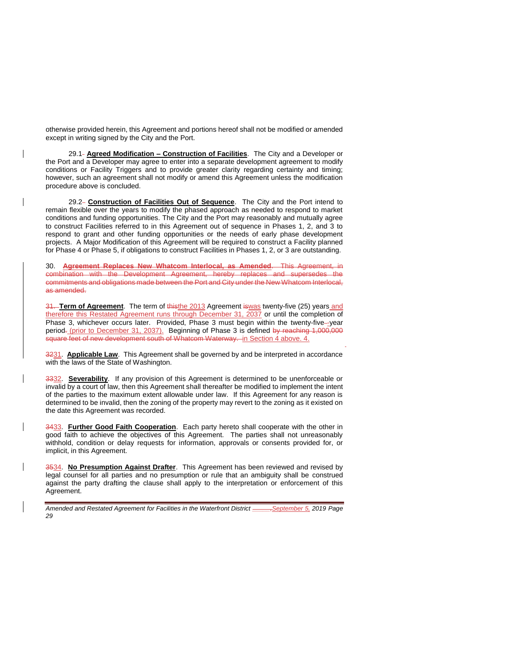otherwise provided herein, this Agreement and portions hereof shall not be modified or amended except in writing signed by the City and the Port.

29.1 **Agreed Modification – Construction of Facilities**. The City and a Developer or the Port and a Developer may agree to enter into a separate development agreement to modify conditions or Facility Triggers and to provide greater clarity regarding certainty and timing; however, such an agreement shall not modify or amend this Agreement unless the modification procedure above is concluded.

29.2 **Construction of Facilities Out of Sequence**. The City and the Port intend to remain flexible over the years to modify the phased approach as needed to respond to market conditions and funding opportunities. The City and the Port may reasonably and mutually agree to construct Facilities referred to in this Agreement out of sequence in Phases 1, 2, and 3 to respond to grant and other funding opportunities or the needs of early phase development projects. A Major Modification of this Agreement will be required to construct a Facility planned for Phase 4 or Phase 5, if obligations to construct Facilities in Phases 1, 2, or 3 are outstanding.

30. **Agreement Replaces New Whatcom Interlocal, as Amended**. This Agreement, in combination with the Development Agreement, hereby replaces and supersedes the commitments and obligations made between the Port and City under the New Whatcom Interlocal, as amended.

31. **Term of Agreement**.The term of thisthe 2013 Agreement iswas twenty-five (25) years and therefore this Restated Agreement runs through December 31, 2037 or until the completion of Phase 3, whichever occurs later. Provided, Phase 3 must begin within the twenty-five--year period- (prior to December 31, 2037). Beginning of Phase 3 is defined by reaching 1,000,000 square feet of new development south of Whatcom Waterway. in Section 4 above. 4.

3231. **Applicable Law**. This Agreement shall be governed by and be interpreted in accordance with the laws of the State of Washington.

3332. **Severability**. If any provision of this Agreement is determined to be unenforceable or invalid by a court of law, then this Agreement shall thereafter be modified to implement the intent of the parties to the maximum extent allowable under law. If this Agreement for any reason is determined to be invalid, then the zoning of the property may revert to the zoning as it existed on the date this Agreement was recorded.

3433. **Further Good Faith Cooperation**. Each party hereto shall cooperate with the other in good faith to achieve the objectives of this Agreement. The parties shall not unreasonably withhold, condition or delay requests for information, approvals or consents provided for, or implicit, in this Agreement.

3534. **No Presumption Against Drafter**. This Agreement has been reviewed and revised by legal counsel for all parties and no presumption or rule that an ambiguity shall be construed against the party drafting the clause shall apply to the interpretation or enforcement of this Agreement.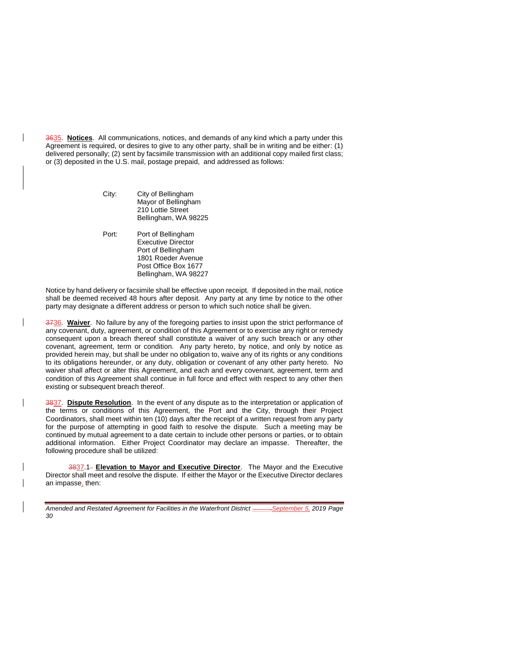3635. **Notices**. All communications, notices, and demands of any kind which a party under this Agreement is required, or desires to give to any other party, shall be in writing and be either: (1) delivered personally; (2) sent by facsimile transmission with an additional copy mailed first class; or (3) deposited in the U.S. mail, postage prepaid, and addressed as follows:

> City: City of Bellingham Mayor of Bellingham 210 Lottie Street Bellingham, WA 98225

> Port: Port of Bellingham Executive Director Port of Bellingham 1801 Roeder Avenue Post Office Box 1677 Bellingham, WA 98227

Notice by hand delivery or facsimile shall be effective upon receipt. If deposited in the mail, notice shall be deemed received 48 hours after deposit. Any party at any time by notice to the other party may designate a different address or person to which such notice shall be given.

3736. **Waiver**. No failure by any of the foregoing parties to insist upon the strict performance of any covenant, duty, agreement, or condition of this Agreement or to exercise any right or remedy consequent upon a breach thereof shall constitute a waiver of any such breach or any other covenant, agreement, term or condition. Any party hereto, by notice, and only by notice as provided herein may, but shall be under no obligation to, waive any of its rights or any conditions to its obligations hereunder, or any duty, obligation or covenant of any other party hereto. No waiver shall affect or alter this Agreement, and each and every covenant, agreement, term and condition of this Agreement shall continue in full force and effect with respect to any other then existing or subsequent breach thereof.

3837. **Dispute Resolution**. In the event of any dispute as to the interpretation or application of the terms or conditions of this Agreement, the Port and the City, through their Project Coordinators, shall meet within ten (10) days after the receipt of a written request from any party for the purpose of attempting in good faith to resolve the dispute. Such a meeting may be continued by mutual agreement to a date certain to include other persons or parties, or to obtain additional information. Either Project Coordinator may declare an impasse. Thereafter, the following procedure shall be utilized:

3837.1 **Elevation to Mayor and Executive Director**. The Mayor and the Executive Director shall meet and resolve the dispute. If either the Mayor or the Executive Director declares an impasse, then: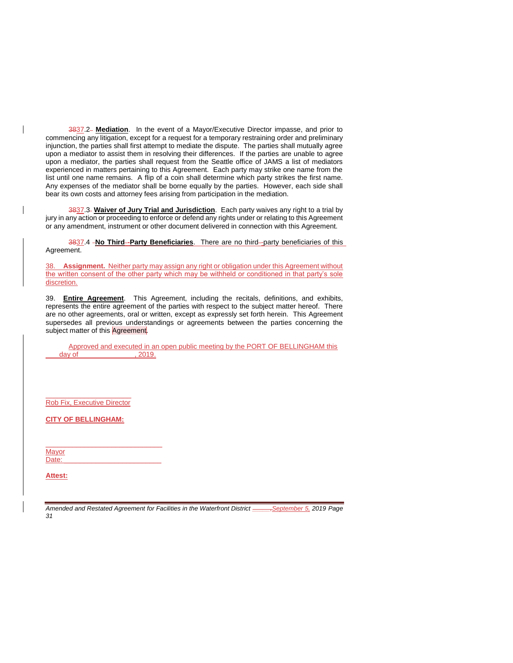3837.2 **Mediation**. In the event of a Mayor/Executive Director impasse, and prior to commencing any litigation, except for a request for a temporary restraining order and preliminary injunction, the parties shall first attempt to mediate the dispute. The parties shall mutually agree upon a mediator to assist them in resolving their differences. If the parties are unable to agree upon a mediator, the parties shall request from the Seattle office of JAMS a list of mediators experienced in matters pertaining to this Agreement. Each party may strike one name from the list until one name remains. A flip of a coin shall determine which party strikes the first name. Any expenses of the mediator shall be borne equally by the parties. However, each side shall bear its own costs and attorney fees arising from participation in the mediation.

3837.3 **Waiver of Jury Trial and Jurisdiction**. Each party waives any right to a trial by jury in any action or proceeding to enforce or defend any rights under or relating to this Agreement or any amendment, instrument or other document delivered in connection with this Agreement.

3837.4 -No Third-Party Beneficiaries. There are no third-party beneficiaries of this Agreement.

38. **Assignment.** Neither party may assign any right or obligation under this Agreement without the written consent of the other party which may be withheld or conditioned in that party's sole discretion.

39. **Entire Agreement**. This Agreement, including the recitals, definitions, and exhibits, represents the entire agreement of the parties with respect to the subject matter hereof. There are no other agreements, oral or written, except as expressly set forth herein. This Agreement supersedes all previous understandings or agreements between the parties concerning the subject matter of this Agreement.

Approved and executed in an open public meeting by the PORT OF BELLINGHAM this day of \_\_\_\_\_\_\_\_\_\_\_\_\_\_\_, 2019.

 $\frac{1}{2}$  ,  $\frac{1}{2}$  ,  $\frac{1}{2}$  ,  $\frac{1}{2}$  ,  $\frac{1}{2}$  ,  $\frac{1}{2}$  ,  $\frac{1}{2}$  ,  $\frac{1}{2}$  ,  $\frac{1}{2}$  ,  $\frac{1}{2}$  ,  $\frac{1}{2}$ Rob Fix, Executive Director

**CITY OF BELLINGHAM:**

\_\_\_\_\_\_\_\_\_\_\_\_\_\_\_\_\_\_\_\_\_\_\_\_\_\_\_\_\_\_

**Mayor** Date:

**Attest:**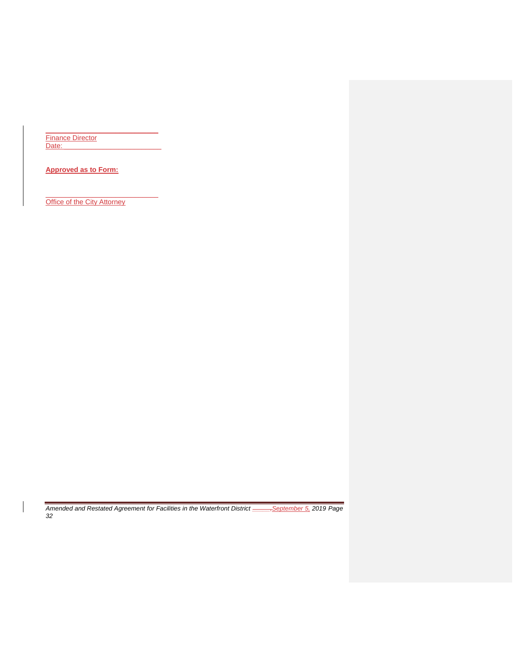\_\_\_\_\_\_\_\_\_\_\_\_\_\_\_\_\_\_\_\_\_\_\_\_\_\_\_\_\_ Finance Director Date:

**Approved as to Form:**

**Office of the City Attorney** 

\_\_\_\_\_\_\_\_\_\_\_\_\_\_\_\_\_\_\_\_\_\_\_\_\_\_\_\_\_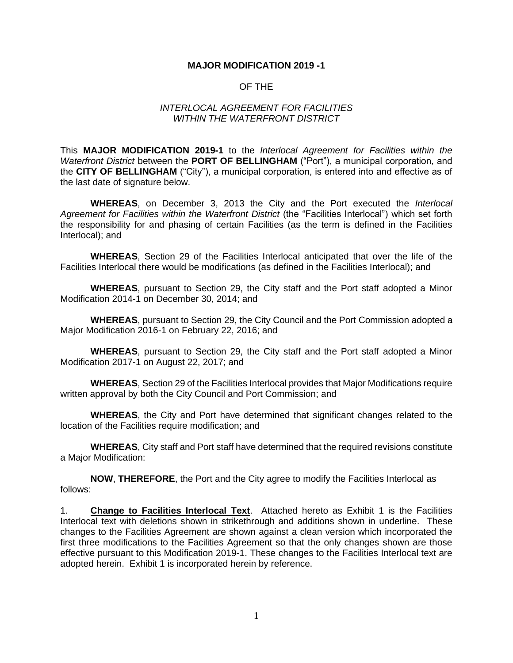## **MAJOR MODIFICATION 2019 -1**

## OF THE

## *INTERLOCAL AGREEMENT FOR FACILITIES WITHIN THE WATERFRONT DISTRICT*

This **MAJOR MODIFICATION 2019-1** to the *Interlocal Agreement for Facilities within the Waterfront District* between the **PORT OF BELLINGHAM** ("Port"), a municipal corporation, and the **CITY OF BELLINGHAM** ("City"), a municipal corporation, is entered into and effective as of the last date of signature below.

**WHEREAS**, on December 3, 2013 the City and the Port executed the *Interlocal Agreement for Facilities within the Waterfront District* (the "Facilities Interlocal") which set forth the responsibility for and phasing of certain Facilities (as the term is defined in the Facilities Interlocal); and

**WHEREAS**, Section 29 of the Facilities Interlocal anticipated that over the life of the Facilities Interlocal there would be modifications (as defined in the Facilities Interlocal); and

**WHEREAS**, pursuant to Section 29, the City staff and the Port staff adopted a Minor Modification 2014-1 on December 30, 2014; and

**WHEREAS**, pursuant to Section 29, the City Council and the Port Commission adopted a Major Modification 2016-1 on February 22, 2016; and

**WHEREAS**, pursuant to Section 29, the City staff and the Port staff adopted a Minor Modification 2017-1 on August 22, 2017; and

**WHEREAS**, Section 29 of the Facilities Interlocal provides that Major Modifications require written approval by both the City Council and Port Commission; and

**WHEREAS**, the City and Port have determined that significant changes related to the location of the Facilities require modification; and

**WHEREAS**, City staff and Port staff have determined that the required revisions constitute a Major Modification:

**NOW**, **THEREFORE**, the Port and the City agree to modify the Facilities Interlocal as follows:

1. **Change to Facilities Interlocal Text**. Attached hereto as Exhibit 1 is the Facilities Interlocal text with deletions shown in strikethrough and additions shown in underline. These changes to the Facilities Agreement are shown against a clean version which incorporated the first three modifications to the Facilities Agreement so that the only changes shown are those effective pursuant to this Modification 2019-1. These changes to the Facilities Interlocal text are adopted herein. Exhibit 1 is incorporated herein by reference.